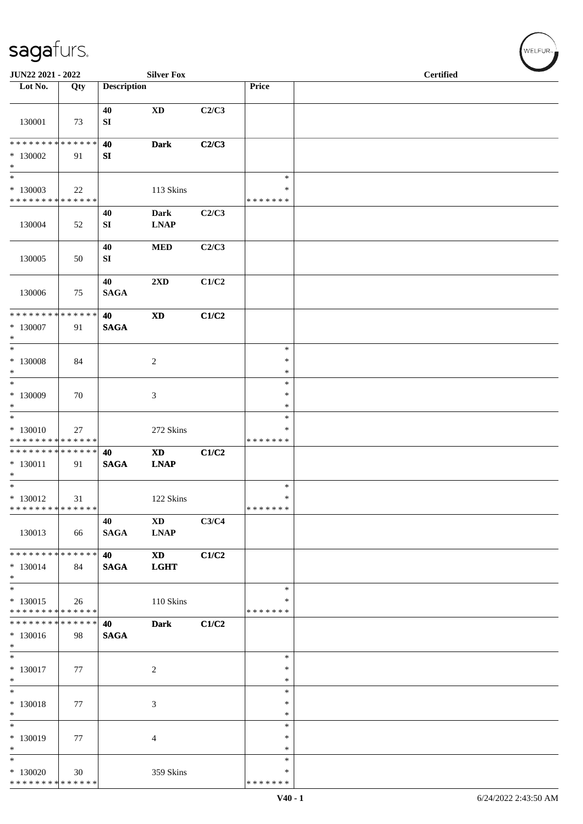| JUN22 2021 - 2022                                                        |                   |                        | <b>Silver Fox</b>                     |       |                                   | <b>Certified</b> |  |
|--------------------------------------------------------------------------|-------------------|------------------------|---------------------------------------|-------|-----------------------------------|------------------|--|
| Lot No.                                                                  | Qty               | <b>Description</b>     |                                       |       | Price                             |                  |  |
| 130001                                                                   | 73                | 40<br>${\bf SI}$       | $\mathbf{X}\mathbf{D}$                | C2/C3 |                                   |                  |  |
| * * * * * * * * * * * * * *<br>$*130002$<br>$\ast$                       | 91                | 40<br>${\bf S}{\bf I}$ | <b>Dark</b>                           | C2/C3 |                                   |                  |  |
| $\ast$<br>$*130003$<br>**************                                    | 22                |                        | 113 Skins                             |       | $\ast$<br>$\ast$<br>* * * * * * * |                  |  |
| 130004                                                                   | 52                | 40<br>${\bf S}{\bf I}$ | <b>Dark</b><br><b>LNAP</b>            | C2/C3 |                                   |                  |  |
| 130005                                                                   | 50                | 40<br>SI               | <b>MED</b>                            | C2/C3 |                                   |                  |  |
| 130006                                                                   | 75                | 40<br><b>SAGA</b>      | 2XD                                   | C1/C2 |                                   |                  |  |
| * * * * * * * *<br>$*130007$<br>$\ast$                                   | * * * * * *<br>91 | 40<br>$\mathbf{SAGA}$  | $\boldsymbol{\mathrm{XD}}$            | C1/C2 |                                   |                  |  |
| $\overline{\phantom{1}}$<br>$*130008$<br>$\ast$                          | 84                |                        | $\sqrt{2}$                            |       | $\ast$<br>$\ast$<br>$\ast$        |                  |  |
| $\ast$<br>$*130009$<br>$\ast$                                            | 70                |                        | $\mathfrak{Z}$                        |       | $\ast$<br>$\ast$<br>$\ast$        |                  |  |
| $\ast$<br>* 130010<br>* * * * * * * * * * * * * * *                      | 27                |                        | 272 Skins                             |       | $\ast$<br>*<br>* * * * * * *      |                  |  |
| * * * * * * * * * * * * * *<br>$* 130011$<br>$\ast$<br>$\overline{\ast}$ | 91                | 40<br><b>SAGA</b>      | <b>XD</b><br><b>LNAP</b>              | C1/C2 |                                   |                  |  |
| $* 130012$<br>* * * * * * * * * * * * * *                                | 31                |                        | 122 Skins                             |       | $\ast$<br>$\ast$<br>* * * * * * * |                  |  |
| 130013                                                                   | 66                | 40<br><b>SAGA</b>      | $\mathbf{X}\mathbf{D}$<br><b>LNAP</b> | C3/C4 |                                   |                  |  |
| ******** <mark>******</mark><br>$* 130014$<br>$*$                        | 84                | 40<br><b>SAGA</b>      | $\mathbf{X}\mathbf{D}$<br><b>LGHT</b> | C1/C2 |                                   |                  |  |
| $\ast$<br>$* 130015$<br>* * * * * * * * * * * * * * *                    | 26                |                        | 110 Skins                             |       | $\ast$<br>*<br>* * * * * * *      |                  |  |
| __<br>********<br>$* 130016$<br>$*$                                      | * * * * * *<br>98 | 40<br><b>SAGA</b>      | <b>Dark</b>                           | C1/C2 |                                   |                  |  |
| $\overline{\phantom{a}^*}$<br>$* 130017$<br>$\ast$                       | 77                |                        | $\overline{c}$                        |       | $\ast$<br>$\ast$<br>$\ast$        |                  |  |
| $*$<br>* 130018<br>$\ast$                                                | 77                |                        | $\mathfrak{Z}$                        |       | $\ast$<br>$\ast$<br>$\ast$        |                  |  |
| $\overline{\phantom{0}}$<br>* 130019<br>$\ast$                           | 77                |                        | $\overline{4}$                        |       | $\ast$<br>$\ast$<br>$\ast$        |                  |  |
| $\overline{\phantom{a}^*}$<br>$*130020$<br>* * * * * * * * * * * * * *   | 30                |                        | 359 Skins                             |       | $\ast$<br>$\ast$<br>* * * * * * * |                  |  |

 $w$ ELFUR-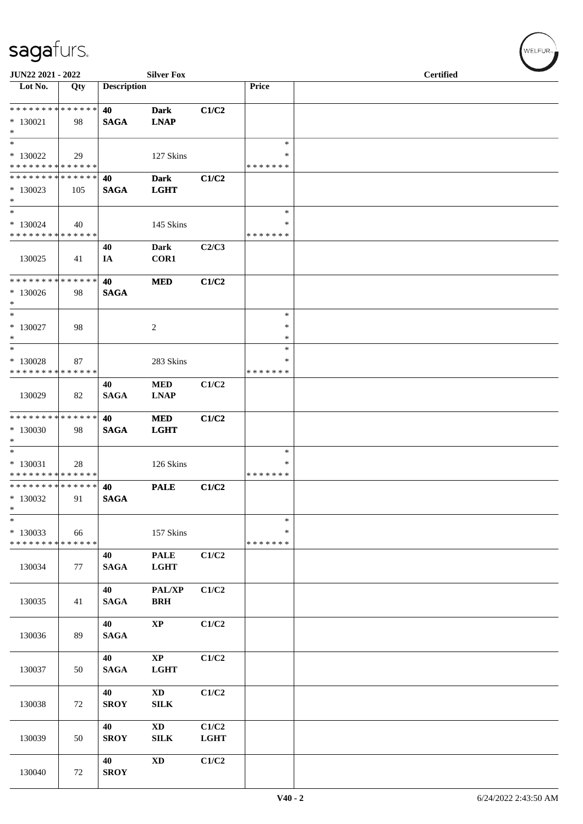| JUN22 2021 - 2022                                   |     |                    | <b>Silver Fox</b>              |                      |                                   | <b>Certified</b> |  |
|-----------------------------------------------------|-----|--------------------|--------------------------------|----------------------|-----------------------------------|------------------|--|
| Lot No.                                             | Qty | <b>Description</b> |                                |                      | Price                             |                  |  |
| * * * * * * * * * * * * * *<br>$*130021$<br>$*$     | 98  | 40<br><b>SAGA</b>  | <b>Dark</b><br><b>LNAP</b>     | C1/C2                |                                   |                  |  |
| $*$<br>$*130022$<br>* * * * * * * * * * * * * *     | 29  |                    | 127 Skins                      |                      | $\ast$<br>$\ast$<br>* * * * * * * |                  |  |
| * * * * * * * * * * * * * *<br>$*130023$<br>$*$     | 105 | 40<br><b>SAGA</b>  | <b>Dark</b><br><b>LGHT</b>     | C1/C2                |                                   |                  |  |
| $*$<br>$*130024$<br>* * * * * * * * * * * * * *     | 40  |                    | 145 Skins                      |                      | $\ast$<br>∗<br>* * * * * * *      |                  |  |
| 130025                                              | 41  | 40<br>IA           | <b>Dark</b><br>COR1            | C2/C3                |                                   |                  |  |
| * * * * * * * * * * * * * * *<br>$*130026$<br>$*$   | 98  | 40<br><b>SAGA</b>  | <b>MED</b>                     | C1/C2                |                                   |                  |  |
| $\ast$<br>$*130027$<br>$*$                          | 98  |                    | $\overline{c}$                 |                      | $\ast$<br>$\ast$<br>$\ast$        |                  |  |
| $*$<br>$*130028$<br>* * * * * * * * * * * * * *     | 87  |                    | 283 Skins                      |                      | $\ast$<br>∗<br>* * * * * * *      |                  |  |
| 130029                                              | 82  | 40<br><b>SAGA</b>  | $\bf MED$<br><b>LNAP</b>       | C1/C2                |                                   |                  |  |
| * * * * * * * * * * * * * * *<br>* 130030<br>$*$    | 98  | 40<br><b>SAGA</b>  | <b>MED</b><br><b>LGHT</b>      | C1/C2                |                                   |                  |  |
| $*$<br>* 130031<br>* * * * * * * * * * * * * *      | 28  |                    | 126 Skins                      |                      | ∗<br>∗<br>* * * * * * *           |                  |  |
| * * * * * * * * * * * * * * *<br>* 130032<br>$\ast$ | 91  | 40<br><b>SAGA</b>  | <b>PALE</b>                    | C1/C2                |                                   |                  |  |
| $\ast$<br>* 130033<br>* * * * * * * * * * * * * *   | 66  |                    | 157 Skins                      |                      | $\ast$<br>$\ast$<br>* * * * * * * |                  |  |
| 130034                                              | 77  | 40<br><b>SAGA</b>  | <b>PALE</b><br><b>LGHT</b>     | C1/C2                |                                   |                  |  |
| 130035                                              | 41  | 40<br><b>SAGA</b>  | PAL/XP<br><b>BRH</b>           | C1/C2                |                                   |                  |  |
| 130036                                              | 89  | 40<br><b>SAGA</b>  | $\bold{XP}$                    | C1/C2                |                                   |                  |  |
| 130037                                              | 50  | 40<br><b>SAGA</b>  | $\bold{XP}$<br><b>LGHT</b>     | C1/C2                |                                   |                  |  |
| 130038                                              | 72  | 40<br><b>SROY</b>  | $\mathbf{X}\mathbf{D}$<br>SILK | C1/C2                |                                   |                  |  |
| 130039                                              | 50  | 40<br><b>SROY</b>  | $\mathbf{X}\mathbf{D}$<br>SILK | C1/C2<br><b>LGHT</b> |                                   |                  |  |
| 130040                                              | 72  | 40<br><b>SROY</b>  | $\mathbf{X}\mathbf{D}$         | C1/C2                |                                   |                  |  |

 $w$ ELFUR<sub>m</sub>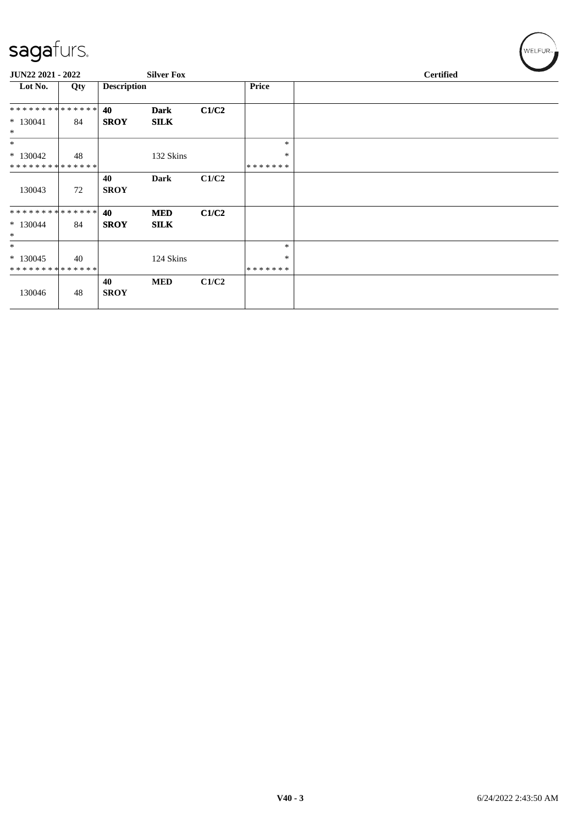| $\tilde{\phantom{a}}$                 |     |                    |                           |       |                         |                  |  |
|---------------------------------------|-----|--------------------|---------------------------|-------|-------------------------|------------------|--|
| JUN22 2021 - 2022                     |     |                    | <b>Silver Fox</b>         |       |                         | <b>Certified</b> |  |
| Lot No.                               | Qty | <b>Description</b> |                           |       | <b>Price</b>            |                  |  |
| **************                        |     | 40                 | <b>Dark</b>               | C1/C2 |                         |                  |  |
| $* 130041$<br>$\ast$                  | 84  | <b>SROY</b>        | <b>SILK</b>               |       |                         |                  |  |
| $*$                                   |     |                    |                           |       | $\ast$                  |                  |  |
| $*130042$<br>**************           | 48  |                    | 132 Skins                 |       | $\ast$<br>*******       |                  |  |
| 130043                                | 72  | 40<br><b>SROY</b>  | Dark                      | C1/C2 |                         |                  |  |
| **************<br>$*130044$<br>$\ast$ | 84  | 40<br><b>SROY</b>  | <b>MED</b><br><b>SILK</b> | C1/C2 |                         |                  |  |
| $\ast$                                |     |                    |                           |       | $\ast$                  |                  |  |
| $*130045$<br>**************           | 40  |                    | 124 Skins                 |       | $\ast$<br>* * * * * * * |                  |  |
| 130046                                | 48  | 40<br><b>SROY</b>  | <b>MED</b>                | C1/C2 |                         |                  |  |

 $(\forall ELEUR_{\text{max}})$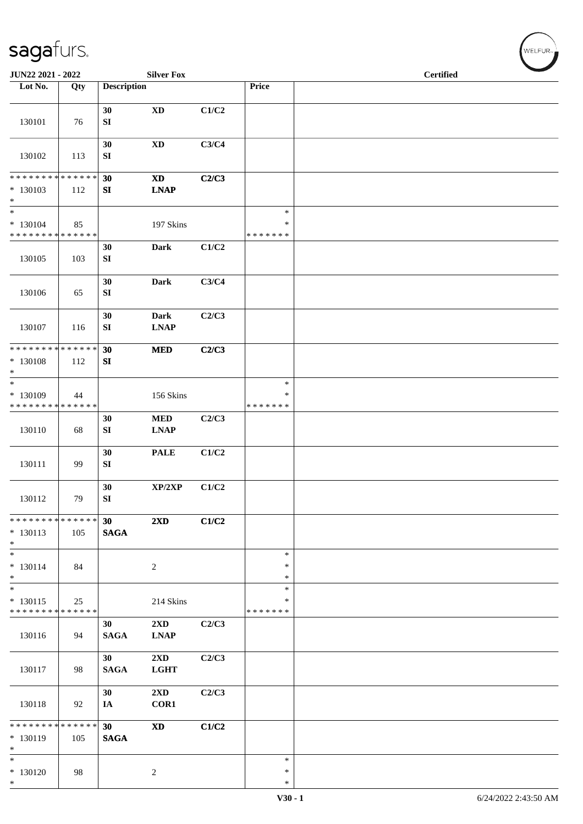| JUN22 2021 - 2022                                          |     |                        | <b>Silver Fox</b>                      |       |                              | <b>Certified</b> |  |
|------------------------------------------------------------|-----|------------------------|----------------------------------------|-------|------------------------------|------------------|--|
| Lot No.                                                    | Qty | <b>Description</b>     |                                        |       | Price                        |                  |  |
| 130101                                                     | 76  | 30<br>SI               | $\mathbf{X}\mathbf{D}$                 | C1/C2 |                              |                  |  |
| 130102                                                     | 113 | 30<br>${\bf S}{\bf I}$ | $\mathbf{X}\mathbf{D}$                 | C3/C4 |                              |                  |  |
| **************                                             |     | 30                     | $\mathbf{X}\mathbf{D}$                 | C2/C3 |                              |                  |  |
| $*130103$<br>$\ast$<br>$\ast$                              | 112 | SI                     | <b>LNAP</b>                            |       | $\ast$                       |                  |  |
| $* 130104$<br>* * * * * * * * * * * * * *                  | 85  |                        | 197 Skins                              |       | $\ast$<br>* * * * * * *      |                  |  |
| 130105                                                     | 103 | 30<br>SI               | <b>Dark</b>                            | C1/C2 |                              |                  |  |
| 130106                                                     | 65  | 30<br>SI               | Dark                                   | C3/C4 |                              |                  |  |
| 130107                                                     | 116 | 30<br>${\bf SI}$       | <b>Dark</b><br><b>LNAP</b>             | C2/C3 |                              |                  |  |
| * * * * * * * * * * * * * *                                |     | 30                     | <b>MED</b>                             | C2/C3 |                              |                  |  |
| $* 130108$<br>$\ast$                                       | 112 | SI                     |                                        |       |                              |                  |  |
| $\frac{1}{1}$<br>* 130109<br>* * * * * * * * * * * * * *   | 44  |                        | 156 Skins                              |       | $\ast$<br>∗<br>* * * * * * * |                  |  |
| 130110                                                     | 68  | 30<br>SI               | $\bf MED$<br><b>LNAP</b>               | C2/C3 |                              |                  |  |
| 130111                                                     | 99  | 30<br>SI               | <b>PALE</b>                            | C1/C2 |                              |                  |  |
| 130112                                                     | 79  | 30<br>${\bf S}{\bf I}$ | XP/2XP                                 | C1/C2 |                              |                  |  |
| * * * * * * * * * * * * * *<br>$* 130113$<br>$*$           | 105 | 30<br><b>SAGA</b>      | 2XD                                    | C1/C2 |                              |                  |  |
| $\ast$<br>$* 130114$<br>$*$                                | 84  |                        | $\sqrt{2}$                             |       | $\ast$<br>$\ast$<br>$\ast$   |                  |  |
| $\frac{1}{*}$<br>$* 130115$<br>* * * * * * * * * * * * * * | 25  |                        | 214 Skins                              |       | $\ast$<br>∗<br>* * * * * * * |                  |  |
| 130116                                                     | 94  | 30<br><b>SAGA</b>      | 2XD<br><b>LNAP</b>                     | C2/C3 |                              |                  |  |
| 130117                                                     | 98  | 30<br><b>SAGA</b>      | $2\mathbf{X}\mathbf{D}$<br><b>LGHT</b> | C2/C3 |                              |                  |  |
| 130118                                                     | 92  | 30<br>IA               | $2\mathbf{X}\mathbf{D}$<br>COR1        | C2/C3 |                              |                  |  |
| * * * * * * * * * * * * * *<br>* 130119<br>$\ast$          | 105 | 30<br><b>SAGA</b>      | $\boldsymbol{\mathrm{XD}}$             | C1/C2 |                              |                  |  |
| $\ast$<br>$* 130120$<br>$*$                                | 98  |                        | $\overline{c}$                         |       | $\ast$<br>$\ast$<br>$\ast$   |                  |  |

 $w$ ELFUR<sub>m</sub>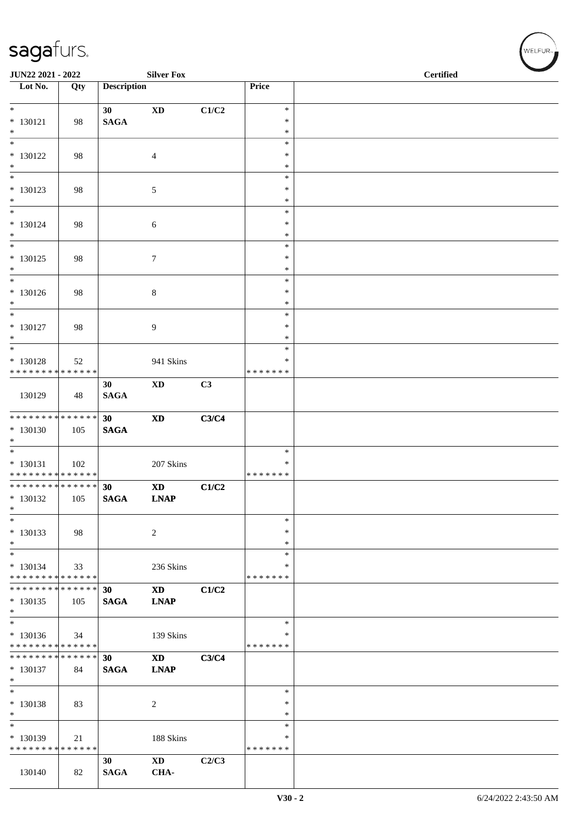| JUN22 2021 - 2022                          |     |                    | <b>Silver Fox</b>          |       |                         | <b>Certified</b> |
|--------------------------------------------|-----|--------------------|----------------------------|-------|-------------------------|------------------|
| $\overline{\phantom{a}}$ Lot No.           | Qty | <b>Description</b> |                            |       | Price                   |                  |
| $*$                                        |     | 30 <sup>1</sup>    | $\mathbf{X}\mathbf{D}$     | C1/C2 | $\ast$                  |                  |
| $* 130121$<br>$*$                          | 98  | <b>SAGA</b>        |                            |       | ∗<br>$\ast$             |                  |
|                                            |     |                    |                            |       | $\ast$                  |                  |
| $* 130122$<br>$*$                          | 98  |                    | $\overline{4}$             |       | $\ast$<br>$\ast$        |                  |
| $*$                                        |     |                    |                            |       | $\ast$                  |                  |
| * 130123<br>$*$                            | 98  |                    | 5                          |       | $\ast$<br>$\ast$        |                  |
|                                            |     |                    |                            |       | $\ast$                  |                  |
| $* 130124$<br>$*$                          | 98  |                    | 6                          |       | ∗<br>$\ast$             |                  |
| $\overline{\phantom{0}}$                   |     |                    |                            |       | $\ast$                  |                  |
| $* 130125$<br>$*$                          | 98  |                    | $\boldsymbol{7}$           |       | $\ast$<br>$\ast$        |                  |
| $*$                                        |     |                    |                            |       | $\ast$                  |                  |
| $* 130126$<br>$*$                          | 98  |                    | $\,8\,$                    |       | $\ast$<br>$\ast$        |                  |
|                                            |     |                    |                            |       | *                       |                  |
| $* 130127$<br>$*$                          | 98  |                    | 9                          |       | ∗<br>$\ast$             |                  |
|                                            |     |                    |                            |       | $\ast$                  |                  |
| * 130128<br>* * * * * * * * * * * * * *    | 52  |                    | 941 Skins                  |       | $\ast$<br>* * * * * * * |                  |
|                                            |     | 30                 | XD                         | C3    |                         |                  |
| 130129                                     | 48  | <b>SAGA</b>        |                            |       |                         |                  |
| * * * * * * * * * * * * * * *              |     | 30                 | $\boldsymbol{\mathrm{XD}}$ | C3/C4 |                         |                  |
| $* 130130$<br>$*$                          | 105 | <b>SAGA</b>        |                            |       |                         |                  |
|                                            |     |                    |                            |       | $\ast$                  |                  |
| $* 130131$<br>* * * * * * * * * * * * * *  | 102 |                    | 207 Skins                  |       | $\ast$<br>* * * * * * * |                  |
| ******** <mark>******</mark>               |     | 30                 | <b>XD</b>                  | C1/C2 |                         |                  |
| $* 130132$<br>$\ast$                       | 105 | <b>SAGA</b>        | <b>LNAP</b>                |       |                         |                  |
| $\ast$                                     |     |                    |                            |       | $\ast$                  |                  |
| $* 130133$<br>$*$                          | 98  |                    | 2                          |       | ∗<br>∗                  |                  |
| $*$                                        |     |                    |                            |       | $\ast$                  |                  |
| $* 130134$<br>* * * * * * * * * * * * * *  | 33  |                    | 236 Skins                  |       | $\ast$<br>* * * * * * * |                  |
| * * * * * * * * <mark>* * * * * * *</mark> |     | 30                 | <b>XD</b>                  | C1/C2 |                         |                  |
| $* 130135$<br>$\ast$                       | 105 | <b>SAGA</b>        | <b>LNAP</b>                |       |                         |                  |
|                                            |     |                    |                            |       | $\ast$                  |                  |
| $* 130136$<br>* * * * * * * * * * * * * *  | 34  |                    | 139 Skins                  |       | $\ast$<br>* * * * * * * |                  |
| * * * * * * * * <mark>* * * * * * *</mark> |     | 30                 | $\mathbf{X}\mathbf{D}$     | C3/C4 |                         |                  |
| $* 130137$<br>$*$                          | 84  | <b>SAGA</b>        | <b>LNAP</b>                |       |                         |                  |
| $*$                                        |     |                    |                            |       | $\ast$                  |                  |
| $* 130138$<br>$*$                          | 83  |                    | 2                          |       | $\ast$<br>$\ast$        |                  |
| $*$                                        |     |                    |                            |       | *                       |                  |
| * 130139<br>* * * * * * * * * * * * * * *  | 21  |                    | 188 Skins                  |       | *<br>* * * * * * *      |                  |
|                                            |     | 30                 | $\mathbf{X}\mathbf{D}$     | C2/C3 |                         |                  |
| 130140                                     | 82  | <b>SAGA</b>        | CHA-                       |       |                         |                  |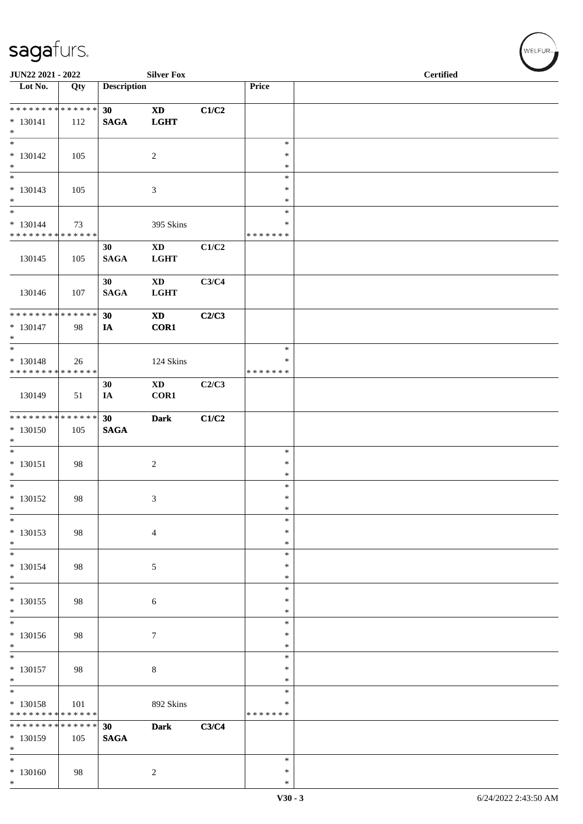| JUN22 2021 - 2022                                              |     |                    | <b>Silver Fox</b>                     |       |                                   | <b>Certified</b> |  |
|----------------------------------------------------------------|-----|--------------------|---------------------------------------|-------|-----------------------------------|------------------|--|
| Lot No.                                                        | Qty | <b>Description</b> |                                       |       | Price                             |                  |  |
| **************<br>$* 130141$<br>$\ast$                         | 112 | 30<br><b>SAGA</b>  | $\mathbf{X}\mathbf{D}$<br><b>LGHT</b> | C1/C2 |                                   |                  |  |
| $\ast$<br>$* 130142$<br>$\ast$                                 | 105 |                    | $\overline{c}$                        |       | $\ast$<br>$\ast$<br>$\ast$        |                  |  |
| $\overline{\phantom{1}}$<br>$* 130143$<br>$\ast$               | 105 |                    | $\mathfrak{Z}$                        |       | $\ast$<br>$\ast$<br>$\ast$        |                  |  |
| $\ast$<br>$* 130144$<br>******** <mark>******</mark>           | 73  |                    | 395 Skins                             |       | $\ast$<br>$\ast$<br>* * * * * * * |                  |  |
| 130145                                                         | 105 | 30<br><b>SAGA</b>  | $\mathbf{X}\mathbf{D}$<br><b>LGHT</b> | C1/C2 |                                   |                  |  |
| 130146                                                         | 107 | 30<br><b>SAGA</b>  | $\mathbf{X}\mathbf{D}$<br><b>LGHT</b> | C3/C4 |                                   |                  |  |
| **************<br>$* 130147$<br>$*$                            | 98  | 30<br>IA           | <b>XD</b><br>COR1                     | C2/C3 |                                   |                  |  |
| $\overline{\ast}$<br>$* 130148$<br>* * * * * * * * * * * * * * | 26  |                    | 124 Skins                             |       | $\ast$<br>$\ast$<br>* * * * * * * |                  |  |
| 130149                                                         | 51  | 30<br>IA           | $\mathbf{X}\mathbf{D}$<br>COR1        | C2/C3 |                                   |                  |  |
| ******** <mark>******</mark><br>$* 130150$<br>$*$              | 105 | 30<br><b>SAGA</b>  | <b>Dark</b>                           | C1/C2 |                                   |                  |  |
| $\ast$<br>$* 130151$<br>$\ast$                                 | 98  |                    | $\sqrt{2}$                            |       | $\ast$<br>$\ast$<br>$\ast$        |                  |  |
| $\overline{\phantom{a}^*}$<br>$* 130152$<br>$\ast$             | 98  |                    | $\mathfrak{Z}$                        |       | $\ast$<br>$\ast$<br>$\ast$        |                  |  |
| $\overline{\ast}$<br>$* 130153$<br>$*$                         | 98  |                    | $\overline{4}$                        |       | $\ast$<br>$\ast$<br>$\ast$        |                  |  |
| $\ast$<br>$* 130154$<br>$\ast$                                 | 98  |                    | $\mathfrak{S}$                        |       | $\ast$<br>$\ast$<br>$\ast$        |                  |  |
| $\ast$<br>$* 130155$<br>$\ast$                                 | 98  |                    | $\sqrt{6}$                            |       | $\ast$<br>$\ast$<br>$\ast$        |                  |  |
| $_{\ast}$<br>$* 130156$<br>$\ast$                              | 98  |                    | $\tau$                                |       | $\ast$<br>$\ast$<br>$\ast$        |                  |  |
| $\ast$<br>$* 130157$<br>$\ast$                                 | 98  |                    | $8\,$                                 |       | $\ast$<br>$\ast$<br>$\ast$        |                  |  |
| $\overline{\ast}$<br>$* 130158$<br>* * * * * * * * * * * * * * | 101 |                    | 892 Skins                             |       | $\ast$<br>$\ast$<br>* * * * * * * |                  |  |
| * * * * * * * * * * * * * *<br>$*130159$<br>$\ast$             | 105 | 30<br><b>SAGA</b>  | <b>Dark</b>                           | C3/C4 |                                   |                  |  |
| $\ast$<br>$* 130160$<br>$\ast$                                 | 98  |                    | $\overline{c}$                        |       | $\ast$<br>$\ast$<br>$\ast$        |                  |  |

 $(\forall ELFUR_{\text{max}})$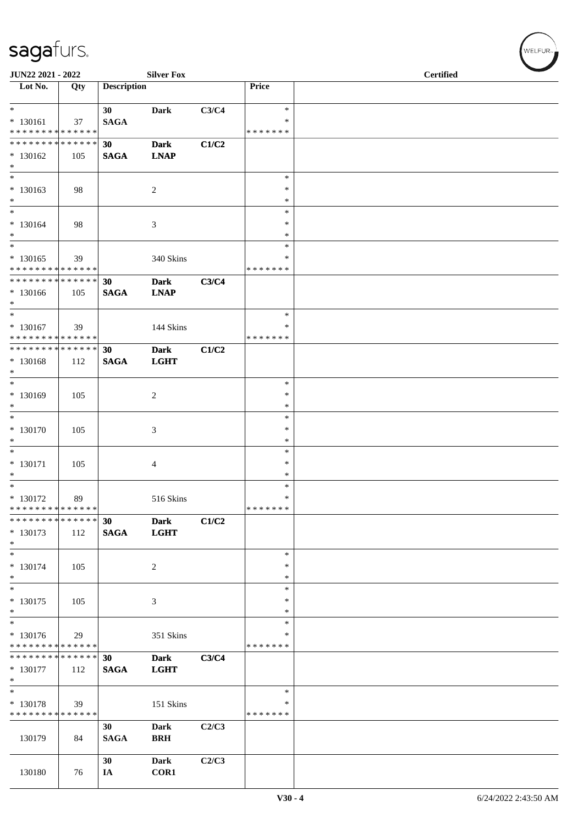| JUN22 2021 - 2022                                              |     |                    | <b>Silver Fox</b> |       |               | <b>Certified</b> |
|----------------------------------------------------------------|-----|--------------------|-------------------|-------|---------------|------------------|
| Lot No.                                                        | Qty | <b>Description</b> |                   |       | Price         |                  |
| $\ast$<br>$* 130161$                                           | 37  | 30<br><b>SAGA</b>  | <b>Dark</b>       | C3/C4 | $\ast$<br>∗   |                  |
| ******** <mark>******</mark>                                   |     |                    |                   |       | * * * * * * * |                  |
| ******** <mark>******</mark>                                   |     | 30                 | <b>Dark</b>       | C1/C2 |               |                  |
| * 130162                                                       | 105 | <b>SAGA</b>        | <b>LNAP</b>       |       |               |                  |
| $\ast$                                                         |     |                    |                   |       |               |                  |
| $*$                                                            |     |                    |                   |       | $\ast$        |                  |
| $* 130163$                                                     | 98  |                    | $\overline{c}$    |       | $\ast$        |                  |
| $\ast$                                                         |     |                    |                   |       | $\ast$        |                  |
| $*$                                                            |     |                    |                   |       | $\ast$        |                  |
| $* 130164$                                                     |     |                    |                   |       | ∗             |                  |
| $*$                                                            | 98  |                    | $\mathfrak{Z}$    |       | $\ast$        |                  |
| $*$                                                            |     |                    |                   |       |               |                  |
|                                                                |     |                    |                   |       | $\ast$        |                  |
| $* 130165$                                                     | 39  |                    | 340 Skins         |       | *             |                  |
| * * * * * * * * * * * * * *                                    |     |                    |                   |       | * * * * * * * |                  |
| * * * * * * * * * * * * * * *                                  |     | 30                 | <b>Dark</b>       | C3/C4 |               |                  |
| * 130166                                                       | 105 | <b>SAGA</b>        | <b>LNAP</b>       |       |               |                  |
| $*$                                                            |     |                    |                   |       |               |                  |
| $*$                                                            |     |                    |                   |       | $\ast$        |                  |
| $* 130167$                                                     | 39  |                    | 144 Skins         |       | ∗             |                  |
| * * * * * * * * * * * * * * *                                  |     |                    |                   |       | * * * * * * * |                  |
| * * * * * * * * * * * * * * *                                  |     | 30                 | <b>Dark</b>       | C1/C2 |               |                  |
| * 130168                                                       | 112 | <b>SAGA</b>        | <b>LGHT</b>       |       |               |                  |
| $*$                                                            |     |                    |                   |       |               |                  |
| $*$                                                            |     |                    |                   |       | $\ast$        |                  |
| * 130169                                                       | 105 |                    | $\overline{c}$    |       | $\ast$        |                  |
| $*$                                                            |     |                    |                   |       | *             |                  |
| $*$                                                            |     |                    |                   |       | $\ast$        |                  |
| * 130170                                                       | 105 |                    | 3                 |       | $\ast$        |                  |
| $*$                                                            |     |                    |                   |       | $\ast$        |                  |
| $*$                                                            |     |                    |                   |       | $\ast$        |                  |
|                                                                |     |                    |                   |       | $\ast$        |                  |
| $* 130171$<br>$*$                                              | 105 |                    | 4                 |       | $\ast$        |                  |
| $*$                                                            |     |                    |                   |       | $\ast$        |                  |
|                                                                |     |                    |                   |       | $\ast$        |                  |
| $* 130172$                                                     | 89  |                    | 516 Skins         |       |               |                  |
| * * * * * * * * * * * * * * *<br>* * * * * * * * * * * * * * * |     |                    |                   |       | * * * * * * * |                  |
|                                                                |     | 30                 | <b>Dark</b>       | C1/C2 |               |                  |
| * 130173                                                       | 112 | <b>SAGA</b>        | <b>LGHT</b>       |       |               |                  |
| $*$                                                            |     |                    |                   |       |               |                  |
| $*$                                                            |     |                    |                   |       | $\ast$        |                  |
| * 130174                                                       | 105 |                    | 2                 |       | $\ast$        |                  |
| $\ast$                                                         |     |                    |                   |       | $\ast$        |                  |
| $*$                                                            |     |                    |                   |       | $\ast$        |                  |
| * 130175                                                       | 105 |                    | 3                 |       | $\ast$        |                  |
| $\ast$                                                         |     |                    |                   |       | $\ast$        |                  |
| $\overline{\phantom{0}}$                                       |     |                    |                   |       | $\ast$        |                  |
| * 130176                                                       | 29  |                    | 351 Skins         |       | ∗             |                  |
| * * * * * * * * * * * * * *                                    |     |                    |                   |       | * * * * * * * |                  |
| * * * * * * * * * * * * * * *                                  |     | 30                 | <b>Dark</b>       | C3/C4 |               |                  |
| $* 130177$                                                     | 112 | <b>SAGA</b>        | <b>LGHT</b>       |       |               |                  |
| $*$                                                            |     |                    |                   |       |               |                  |
| $\ast$                                                         |     |                    |                   |       | $\ast$        |                  |
| $* 130178$                                                     | 39  |                    | 151 Skins         |       | $\ast$        |                  |
| * * * * * * * * * * * * * *                                    |     |                    |                   |       | * * * * * * * |                  |
|                                                                |     | 30                 | <b>Dark</b>       | C2/C3 |               |                  |
| 130179                                                         | 84  | <b>SAGA</b>        | <b>BRH</b>        |       |               |                  |
|                                                                |     |                    |                   |       |               |                  |
|                                                                |     | 30                 | <b>Dark</b>       | C2/C3 |               |                  |
| 130180                                                         |     |                    |                   |       |               |                  |
|                                                                | 76  | IA                 | COR1              |       |               |                  |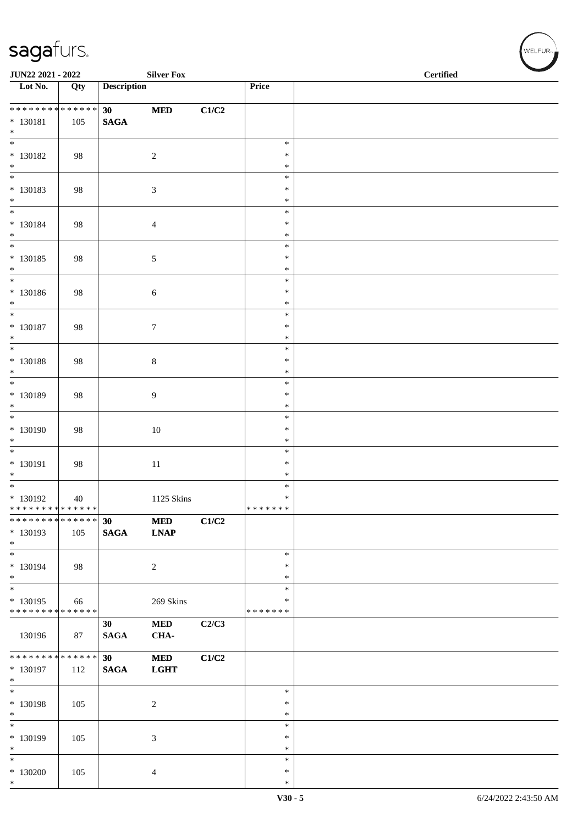| JUN22 2021 - 2022                                |        |                    | <b>Silver Fox</b> |       |                         | <b>Certified</b> |
|--------------------------------------------------|--------|--------------------|-------------------|-------|-------------------------|------------------|
| $\overline{\phantom{1}}$ Lot No.                 | Qty    | <b>Description</b> |                   |       | Price                   |                  |
| ******** <mark>******</mark>                     |        | 30                 | $\bf MED$         | C1/C2 |                         |                  |
| $* 130181$<br>$*$                                | 105    | <b>SAGA</b>        |                   |       |                         |                  |
| $\overline{\ast}$                                |        |                    |                   |       | $\ast$                  |                  |
| $* 130182$<br>$*$                                | 98     |                    | $\sqrt{2}$        |       | $\ast$<br>$\ast$        |                  |
|                                                  |        |                    |                   |       | $\ast$                  |                  |
| $* 130183$<br>$*$                                | 98     |                    | 3                 |       | $\ast$<br>$\ast$        |                  |
| $\overline{\phantom{0}}$                         |        |                    |                   |       | $\ast$                  |                  |
| $* 130184$                                       | 98     |                    | $\overline{4}$    |       | $\ast$                  |                  |
| $*$<br>$\overline{\phantom{0}}$                  |        |                    |                   |       | $\ast$<br>$\ast$        |                  |
| $* 130185$                                       | 98     |                    | $\sqrt{5}$        |       | $\ast$                  |                  |
| $*$<br>$*$                                       |        |                    |                   |       | $\ast$<br>$\ast$        |                  |
| $* 130186$                                       | 98     |                    | 6                 |       | $\ast$                  |                  |
| $*$<br>$\overline{\ast}$                         |        |                    |                   |       | $\ast$                  |                  |
| * 130187                                         | 98     |                    | $\boldsymbol{7}$  |       | $\ast$<br>$\ast$        |                  |
| $*$                                              |        |                    |                   |       | $\ast$                  |                  |
| $\overline{\ }$<br>$* 130188$                    | 98     |                    | $8\,$             |       | $\ast$<br>$\ast$        |                  |
| $\ast$                                           |        |                    |                   |       | $\ast$                  |                  |
|                                                  |        |                    |                   |       | $\ast$                  |                  |
| * 130189<br>$*$                                  | 98     |                    | 9                 |       | $\ast$<br>$\ast$        |                  |
|                                                  |        |                    |                   |       | $\ast$                  |                  |
| * 130190<br>$\ast$                               | 98     |                    | $10\,$            |       | $\ast$<br>$\ast$        |                  |
| $\overline{\phantom{0}}$                         |        |                    |                   |       | $\ast$                  |                  |
| $* 130191$                                       | 98     |                    | $11\,$            |       | $\ast$                  |                  |
| $*$<br>$\overline{\phantom{0}}$                  |        |                    |                   |       | $\ast$<br>$\ast$        |                  |
| $* 130192$                                       | 40     |                    | 1125 Skins        |       | $\ast$                  |                  |
| * * * * * * * * * * * * * * *<br>* * * * * * * * | ****** | 30                 | $\bf MED$         | C1/C2 | * * * * * * *           |                  |
| * 130193<br>$*$                                  | 105    | <b>SAGA</b>        | <b>LNAP</b>       |       |                         |                  |
| $*$                                              |        |                    |                   |       | $\ast$                  |                  |
| * 130194<br>$*$                                  | 98     |                    | $\overline{2}$    |       | $\ast$<br>$\ast$        |                  |
| $*$                                              |        |                    |                   |       | $\ast$                  |                  |
| $* 130195$<br>* * * * * * * * * * * * * *        | 66     |                    | 269 Skins         |       | $\ast$<br>* * * * * * * |                  |
|                                                  |        | 30                 | $\bf MED$         | C2/C3 |                         |                  |
| 130196                                           | 87     | <b>SAGA</b>        | CHA-              |       |                         |                  |
| * * * * * * * * * * * * * *                      |        | 30                 | $\bf MED$         | C1/C2 |                         |                  |
| * 130197<br>$*$                                  | 112    | <b>SAGA</b>        | <b>LGHT</b>       |       |                         |                  |
| $*$                                              |        |                    |                   |       | $\ast$                  |                  |
| $* 130198$<br>$*$                                | 105    |                    | $\overline{c}$    |       | $\ast$<br>$\ast$        |                  |
| $*$                                              |        |                    |                   |       | $\ast$                  |                  |
| * 130199                                         | 105    |                    | 3                 |       | $\ast$                  |                  |
| $*$<br>$*$                                       |        |                    |                   |       | $\ast$<br>$\ast$        |                  |
| $*130200$                                        | 105    |                    | 4                 |       | $\ast$                  |                  |
| $*$                                              |        |                    |                   |       | $\ast$                  |                  |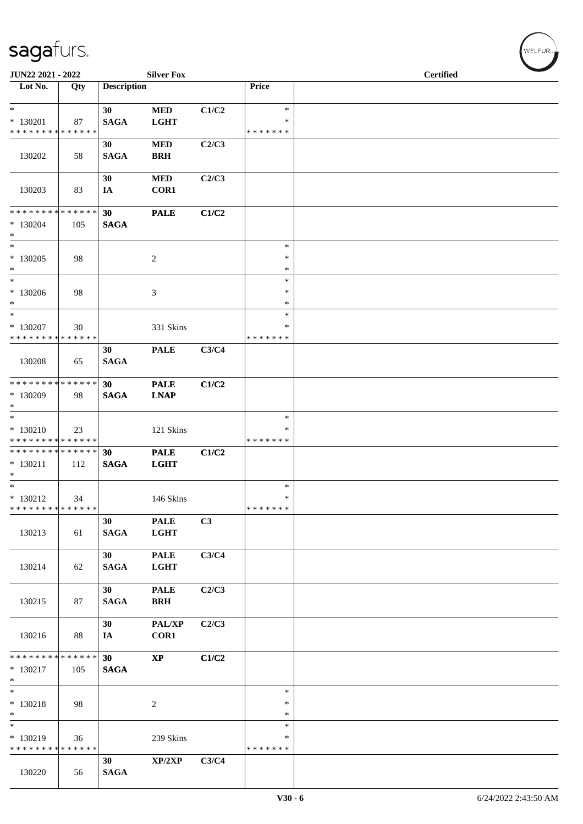| JUN22 2021 - 2022                                               |     |                    | <b>Silver Fox</b>          |       |                                   | <b>Certified</b> |  |
|-----------------------------------------------------------------|-----|--------------------|----------------------------|-------|-----------------------------------|------------------|--|
| Lot No.                                                         | Qty | <b>Description</b> |                            |       | Price                             |                  |  |
| $\ast$<br>* 130201<br>* * * * * * * * * * * * * *               | 87  | 30<br><b>SAGA</b>  | <b>MED</b><br><b>LGHT</b>  | C1/C2 | $\ast$<br>$\ast$<br>* * * * * * * |                  |  |
| 130202                                                          | 58  | 30<br><b>SAGA</b>  | $\bf MED$<br><b>BRH</b>    | C2/C3 |                                   |                  |  |
| 130203                                                          | 83  | 30<br>IA           | <b>MED</b><br>COR1         | C2/C3 |                                   |                  |  |
| * * * * * * * * * * * * * * *<br>$*130204$<br>$*$               | 105 | 30<br><b>SAGA</b>  | <b>PALE</b>                | C1/C2 |                                   |                  |  |
| $*$<br>* 130205<br>$*$                                          | 98  |                    | $\sqrt{2}$                 |       | $\ast$<br>$\ast$<br>$\ast$        |                  |  |
| $\ast$<br>* 130206<br>$*$                                       | 98  |                    | 3                          |       | $\ast$<br>∗<br>$\ast$             |                  |  |
| $*$<br>$* 130207$<br>* * * * * * * * * * * * * *                | 30  |                    | 331 Skins                  |       | $\ast$<br>*<br>* * * * * * *      |                  |  |
| 130208                                                          | 65  | 30<br><b>SAGA</b>  | <b>PALE</b>                | C3/C4 |                                   |                  |  |
| * * * * * * * * * * * * * * *<br>* 130209<br>$*$                | 98  | 30<br><b>SAGA</b>  | <b>PALE</b><br><b>LNAP</b> | C1/C2 |                                   |                  |  |
| $*$<br>$* 130210$<br>* * * * * * * * <mark>* * * * * * *</mark> | 23  |                    | 121 Skins                  |       | $\ast$<br>*<br>* * * * * * *      |                  |  |
| * * * * * * * * <mark>* * * * * * *</mark><br>$* 130211$<br>$*$ | 112 | 30<br><b>SAGA</b>  | <b>PALE</b><br><b>LGHT</b> | C1/C2 |                                   |                  |  |
| $*$<br>$* 130212$<br>* * * * * * * * * * * * * * *              | 34  |                    | 146 Skins                  |       | $\ast$<br>$\ast$<br>* * * * * * * |                  |  |
| 130213                                                          | 61  | 30<br><b>SAGA</b>  | <b>PALE</b><br><b>LGHT</b> | C3    |                                   |                  |  |
| 130214                                                          | 62  | 30<br><b>SAGA</b>  | <b>PALE</b><br><b>LGHT</b> | C3/C4 |                                   |                  |  |
| 130215                                                          | 87  | 30<br><b>SAGA</b>  | <b>PALE</b><br><b>BRH</b>  | C2/C3 |                                   |                  |  |
| 130216                                                          | 88  | 30<br>IA           | PAL/XP<br>COR1             | C2/C3 |                                   |                  |  |
| * * * * * * * * * * * * * * *<br>$* 130217$<br>$*$              | 105 | 30<br><b>SAGA</b>  | $\mathbf{X}\mathbf{P}$     | C1/C2 |                                   |                  |  |
| $*$<br>$* 130218$<br>$*$                                        | 98  |                    | $\overline{2}$             |       | $\ast$<br>$\ast$<br>$\ast$        |                  |  |
| $\ast$<br>* 130219<br>* * * * * * * * * * * * * *               | 36  |                    | 239 Skins                  |       | $\ast$<br>$\ast$<br>* * * * * * * |                  |  |
| 130220                                                          | 56  | 30<br><b>SAGA</b>  | XP/2XP                     | C3/C4 |                                   |                  |  |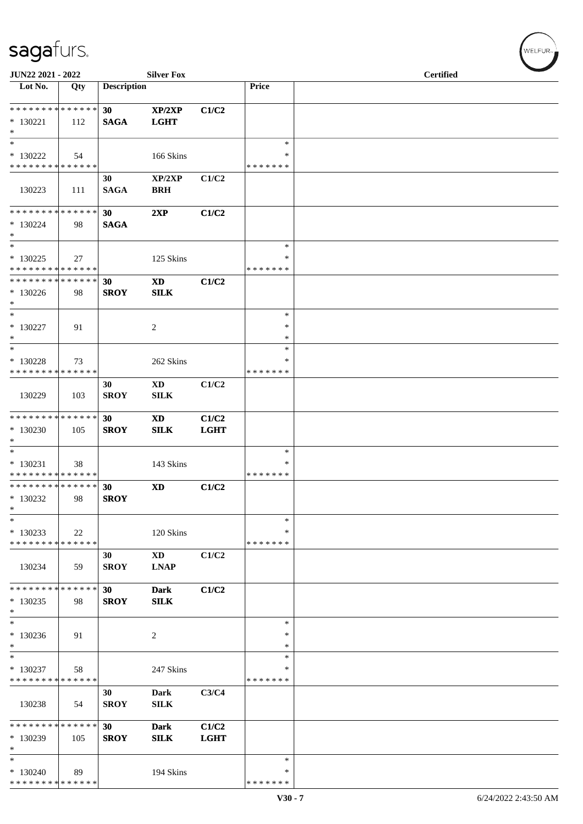| JUN22 2021 - 2022                                                     |     |                    | <b>Silver Fox</b>          |                      |                                   | <b>Certified</b> |  |
|-----------------------------------------------------------------------|-----|--------------------|----------------------------|----------------------|-----------------------------------|------------------|--|
| Lot No.                                                               | Qty | <b>Description</b> |                            |                      | Price                             |                  |  |
| * * * * * * * * * * * * * *<br>$* 130221$<br>$\ast$                   | 112 | 30<br><b>SAGA</b>  | XP/2XP<br><b>LGHT</b>      | C1/C2                |                                   |                  |  |
| $\ast$<br>$* 130222$<br>* * * * * * * * * * * * * *                   | 54  |                    | 166 Skins                  |                      | $\ast$<br>$\ast$<br>* * * * * * * |                  |  |
| 130223                                                                | 111 | 30<br><b>SAGA</b>  | XP/2XP<br><b>BRH</b>       | C1/C2                |                                   |                  |  |
| * * * * * * * * * * * * * *<br>$*130224$<br>$\ast$                    | 98  | 30<br><b>SAGA</b>  | 2XP                        | C1/C2                |                                   |                  |  |
| $\ast$<br>$*130225$<br>* * * * * * * * * * * * * *                    | 27  |                    | 125 Skins                  |                      | $\ast$<br>∗<br>* * * * * * *      |                  |  |
| **************<br>$*130226$<br>$\ast$                                 | 98  | 30<br><b>SROY</b>  | <b>XD</b><br><b>SILK</b>   | C1/C2                |                                   |                  |  |
| $\ast$<br>$* 130227$<br>$\ast$                                        | 91  |                    | $\overline{2}$             |                      | $\ast$<br>∗<br>$\ast$             |                  |  |
| $\ast$<br>$* 130228$<br>* * * * * * * * * * * * * *                   | 73  |                    | 262 Skins                  |                      | $\ast$<br>∗<br>* * * * * * *      |                  |  |
| 130229                                                                | 103 | 30<br><b>SROY</b>  | <b>XD</b><br>SILK          | C1/C2                |                                   |                  |  |
| * * * * * * * * * * * * * *<br>$*130230$<br>$\ast$                    | 105 | 30<br><b>SROY</b>  | <b>XD</b><br><b>SILK</b>   | C1/C2<br><b>LGHT</b> |                                   |                  |  |
| $\overline{\phantom{0}}$<br>$* 130231$<br>* * * * * * * * * * * * * * | 38  |                    | 143 Skins                  |                      | $\ast$<br>$\ast$<br>* * * * * * * |                  |  |
| **************<br>$*130232$<br>$\ast$                                 | 98  | 30<br><b>SROY</b>  | <b>XD</b>                  | C1/C2                |                                   |                  |  |
| $\ast$<br>$*130233$<br>* * * * * * * * * * * * * *                    | 22  |                    | 120 Skins                  |                      | $\ast$<br>*<br>* * * * * * *      |                  |  |
| 130234                                                                | 59  | 30<br><b>SROY</b>  | <b>XD</b><br><b>LNAP</b>   | C1/C2                |                                   |                  |  |
| * * * * * * * * * * * * * *<br>$*130235$<br>$\ast$                    | 98  | 30<br><b>SROY</b>  | <b>Dark</b><br><b>SILK</b> | C1/C2                |                                   |                  |  |
| $\ast$<br>$*130236$<br>$\ast$                                         | 91  |                    | 2                          |                      | $\ast$<br>∗<br>∗                  |                  |  |
| $\overline{\ast}$<br>* 130237<br>* * * * * * * * * * * * * *          | 58  |                    | 247 Skins                  |                      | $\ast$<br>∗<br>* * * * * * *      |                  |  |
| 130238                                                                | 54  | 30<br><b>SROY</b>  | Dark<br><b>SILK</b>        | C3/C4                |                                   |                  |  |
| * * * * * * * * * * * * * *<br>* 130239<br>$\ast$                     | 105 | 30<br><b>SROY</b>  | <b>Dark</b><br><b>SILK</b> | C1/C2<br><b>LGHT</b> |                                   |                  |  |
| $\ast$<br>$*130240$<br>* * * * * * * * * * * * * *                    | 89  |                    | 194 Skins                  |                      | $\ast$<br>∗<br>* * * * * * *      |                  |  |

WELFUR-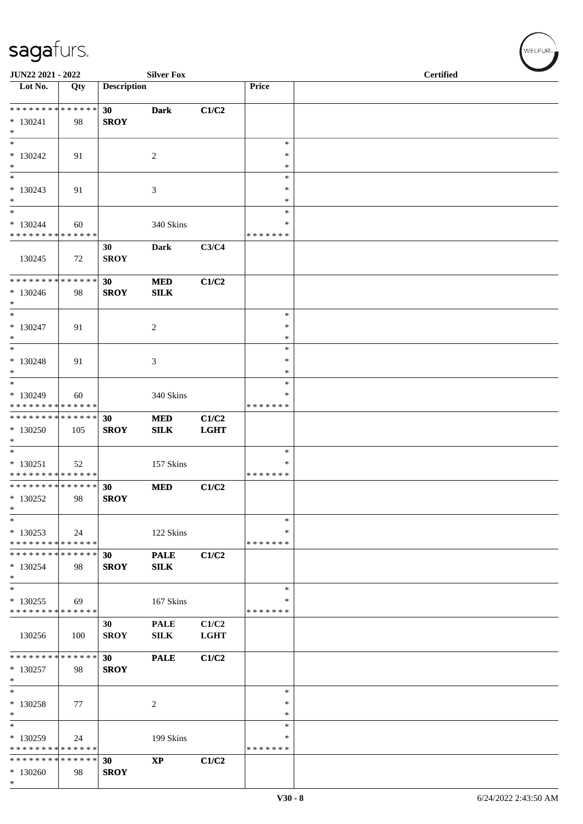| JUN22 2021 - 2022                                          |     |                    | <b>Silver Fox</b>      |             |                    | <b>Certified</b> |  |
|------------------------------------------------------------|-----|--------------------|------------------------|-------------|--------------------|------------------|--|
| Lot No.                                                    | Qty | <b>Description</b> |                        |             | Price              |                  |  |
| ******** <mark>******</mark>                               |     | 30                 | <b>Dark</b>            | C1/C2       |                    |                  |  |
| $* 130241$<br>$\ast$                                       | 98  | <b>SROY</b>        |                        |             |                    |                  |  |
| $\ast$                                                     |     |                    |                        |             | $\ast$             |                  |  |
| $*130242$                                                  | 91  |                    | 2                      |             | $\ast$             |                  |  |
| $\ast$<br>$\ast$                                           |     |                    |                        |             | $\ast$<br>$\ast$   |                  |  |
| $*130243$                                                  | 91  |                    | 3                      |             | $\ast$             |                  |  |
| $*$                                                        |     |                    |                        |             | $\ast$             |                  |  |
| $\ast$<br>$*130244$                                        | 60  |                    | 340 Skins              |             | *<br>∗             |                  |  |
| * * * * * * * * * * * * * *                                |     |                    |                        |             | * * * * * * *      |                  |  |
| 130245                                                     | 72  | 30<br><b>SROY</b>  | Dark                   | C3/C4       |                    |                  |  |
| * * * * * * * * * * * * * *                                |     | 30                 | <b>MED</b>             | C1/C2       |                    |                  |  |
| $*130246$<br>$\ast$                                        | 98  | <b>SROY</b>        | <b>SILK</b>            |             |                    |                  |  |
| $*$                                                        |     |                    |                        |             | $\ast$             |                  |  |
| $* 130247$<br>$*$                                          | 91  |                    | 2                      |             | ∗<br>$\ast$        |                  |  |
| $\ast$                                                     |     |                    |                        |             | $\ast$             |                  |  |
| $* 130248$<br>$*$                                          | 91  |                    | 3                      |             | $\ast$<br>$\ast$   |                  |  |
| $*$                                                        |     |                    |                        |             | $\ast$             |                  |  |
| * 130249                                                   | 60  |                    | 340 Skins              |             | *                  |                  |  |
| * * * * * * * * * * * * * *<br>* * * * * * * * * * * * * * |     | 30                 | <b>MED</b>             | C1/C2       | * * * * * * *      |                  |  |
| * 130250                                                   | 105 | <b>SROY</b>        | SILK                   | <b>LGHT</b> |                    |                  |  |
| $*$<br>$*$                                                 |     |                    |                        |             | $\ast$             |                  |  |
| $* 130251$                                                 | 52  |                    | 157 Skins              |             | ∗                  |                  |  |
| * * * * * * * * * * * * * *                                |     |                    |                        |             | * * * * * * *      |                  |  |
| * * * * * * * * * * * * * * *<br>$*130252$                 | 98  | 30<br><b>SROY</b>  | <b>MED</b>             | C1/C2       |                    |                  |  |
| $\ast$                                                     |     |                    |                        |             |                    |                  |  |
| $\ast$                                                     |     |                    |                        |             | $\ast$             |                  |  |
| $*130253$<br>* * * * * * * * * * * * * *                   | 24  |                    | 122 Skins              |             | ∗<br>* * * * * * * |                  |  |
| * * * * * * * * * * * * * *                                |     | 30                 | <b>PALE</b>            | C1/C2       |                    |                  |  |
| $*130254$<br>$*$                                           | 98  | <b>SROY</b>        | <b>SILK</b>            |             |                    |                  |  |
| $\ast$                                                     |     |                    |                        |             | $\ast$             |                  |  |
| $*130255$                                                  | 69  |                    | 167 Skins              |             | ∗                  |                  |  |
| * * * * * * * * * * * * * *                                |     | 30                 | <b>PALE</b>            | C1/C2       | * * * * * * *      |                  |  |
| 130256                                                     | 100 | <b>SROY</b>        | ${\bf SILK}$           | <b>LGHT</b> |                    |                  |  |
| * * * * * * * * * * * * * *                                |     | 30                 | <b>PALE</b>            | C1/C2       |                    |                  |  |
| $*130257$                                                  | 98  | <b>SROY</b>        |                        |             |                    |                  |  |
| $\ast$                                                     |     |                    |                        |             |                    |                  |  |
| $\ast$<br>* 130258                                         | 77  |                    | 2                      |             | ∗<br>∗             |                  |  |
| $\ast$                                                     |     |                    |                        |             | $\ast$             |                  |  |
| $\ast$                                                     |     |                    |                        |             | $\ast$             |                  |  |
| * 130259<br>* * * * * * * * * * * * * *                    | 24  |                    | 199 Skins              |             | *<br>* * * * * * * |                  |  |
| * * * * * * * * * * * * * *                                |     | 30                 | $\mathbf{X}\mathbf{P}$ | C1/C2       |                    |                  |  |
| $*130260$<br>$*$                                           | 98  | <b>SROY</b>        |                        |             |                    |                  |  |
|                                                            |     |                    |                        |             |                    |                  |  |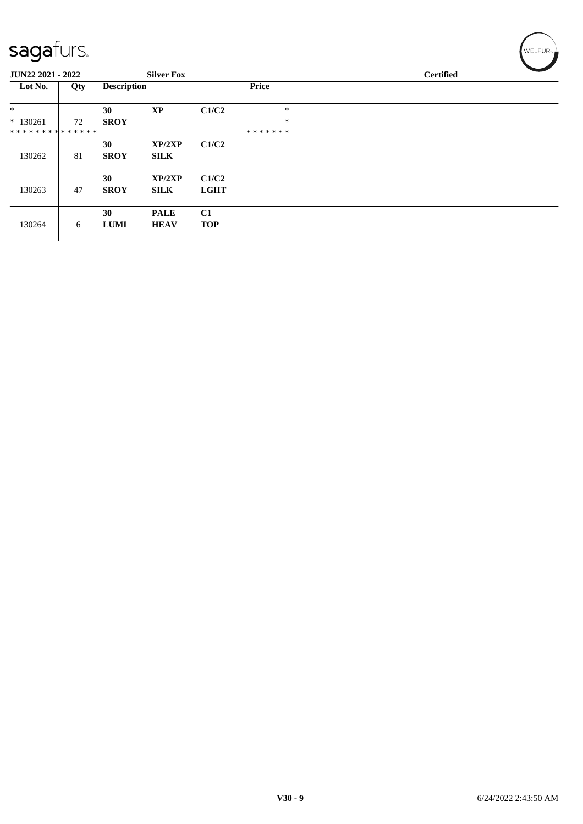| $\sim$            |     |                    |                   |             |         |                  |  |
|-------------------|-----|--------------------|-------------------|-------------|---------|------------------|--|
| JUN22 2021 - 2022 |     |                    | <b>Silver Fox</b> |             |         | <b>Certified</b> |  |
| Lot No.           | Qty | <b>Description</b> |                   |             | Price   |                  |  |
| $\ast$            |     | 30                 | <b>XP</b>         | C1/C2       | $\ast$  |                  |  |
| $* 130261$        | 72  | <b>SROY</b>        |                   |             | $\ast$  |                  |  |
| **************    |     |                    |                   |             | ******* |                  |  |
|                   |     | 30                 | XP/2XP            | C1/C2       |         |                  |  |
| 130262            | 81  | <b>SROY</b>        | <b>SILK</b>       |             |         |                  |  |
|                   |     | 30                 | XP/2XP            | C1/C2       |         |                  |  |
| 130263            | 47  | <b>SROY</b>        | <b>SILK</b>       | <b>LGHT</b> |         |                  |  |
|                   |     | 30                 | <b>PALE</b>       | C1          |         |                  |  |
| 130264            | 6   | <b>LUMI</b>        | <b>HEAV</b>       | <b>TOP</b>  |         |                  |  |
|                   |     |                    |                   |             |         |                  |  |

 $\left(\mathsf{WELFUR}_{\approx}\right)$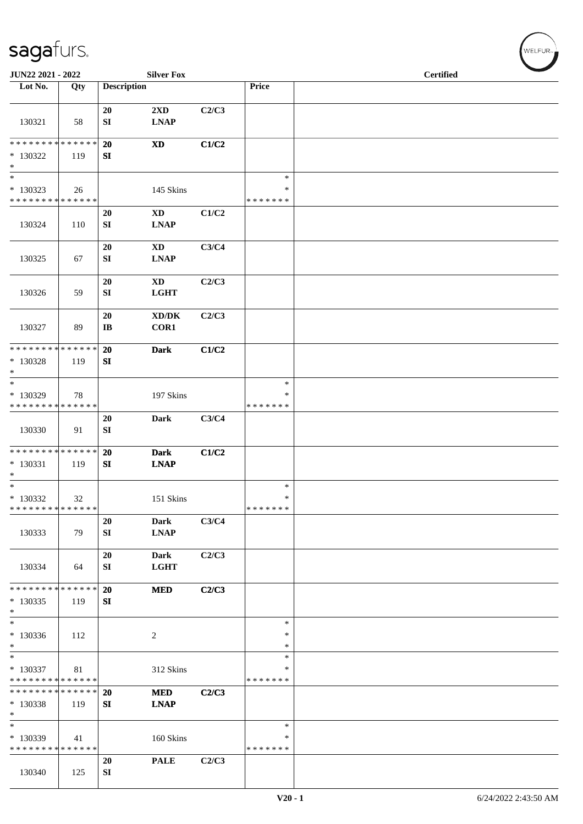| JUN22 2021 - 2022                                                   |        |                              | <b>Silver Fox</b>                      |       |                                   | <b>Certified</b> |  |
|---------------------------------------------------------------------|--------|------------------------------|----------------------------------------|-------|-----------------------------------|------------------|--|
| Lot $No.$                                                           | Qty    | <b>Description</b>           |                                        |       | Price                             |                  |  |
| 130321                                                              | 58     | 20<br>${\bf S}{\bf I}$       | $2\mathbf{X}\mathbf{D}$<br><b>LNAP</b> | C2/C3 |                                   |                  |  |
| **************<br>$*130322$<br>$\ast$                               | 119    | 20<br>SI                     | $\mathbf{X}\mathbf{D}$                 | C1/C2 |                                   |                  |  |
| $\ast$<br>$*130323$<br>* * * * * * * * * * * * * *                  | 26     |                              | 145 Skins                              |       | $\ast$<br>$\ast$<br>* * * * * * * |                  |  |
| 130324                                                              | 110    | 20<br>SI                     | <b>XD</b><br><b>LNAP</b>               | C1/C2 |                                   |                  |  |
| 130325                                                              | 67     | 20<br>SI                     | <b>XD</b><br><b>LNAP</b>               | C3/C4 |                                   |                  |  |
| 130326                                                              | 59     | 20<br>SI                     | <b>XD</b><br><b>LGHT</b>               | C2/C3 |                                   |                  |  |
| 130327                                                              | 89     | 20<br>$\mathbf{I}\mathbf{B}$ | XD/DK<br>COR1                          | C2/C3 |                                   |                  |  |
| * * * * * * * * * * * * * *<br>* 130328<br>$\ast$                   | 119    | <b>20</b><br>SI              | <b>Dark</b>                            | C1/C2 |                                   |                  |  |
| $\ast$<br>* 130329<br>* * * * * * * * * * * * * *                   | 78     |                              | 197 Skins                              |       | $\ast$<br>$\ast$<br>* * * * * * * |                  |  |
| 130330                                                              | 91     | 20<br>${\bf S}{\bf I}$       | <b>Dark</b>                            | C3/C4 |                                   |                  |  |
| * * * * * * * * * * * * * *<br>$* 130331$<br>$\ast$                 | 119    | 20<br>SI                     | <b>Dark</b><br><b>LNAP</b>             | C1/C2 |                                   |                  |  |
| $*$<br>$*130332$<br>* * * * * * * * * * * * * *                     | $32\,$ |                              | 151 Skins                              |       | $\ast$<br>$\ast$<br>*******       |                  |  |
| 130333                                                              | 79     | 20<br>SI                     | <b>Dark</b><br><b>LNAP</b>             | C3/C4 |                                   |                  |  |
| 130334                                                              | 64     | 20<br><b>SI</b>              | <b>Dark</b><br><b>LGHT</b>             | C2/C3 |                                   |                  |  |
| * * * * * * * * * * * * * *<br>$*130335$<br>$\ast$                  | 119    | <b>20</b><br>SI              | <b>MED</b>                             | C2/C3 |                                   |                  |  |
| $\ast$<br>$*130336$<br>$\ast$                                       | 112    |                              | $\overline{2}$                         |       | $\ast$<br>$\ast$<br>$\ast$        |                  |  |
| $\overline{\phantom{0}}$<br>* 130337<br>* * * * * * * * * * * * * * | 81     |                              | 312 Skins                              |       | $\ast$<br>∗<br>* * * * * * *      |                  |  |
| * * * * * * * * * * * * * *<br>* 130338<br>$\ast$                   | 119    | <b>20</b><br>SI              | <b>MED</b><br><b>LNAP</b>              | C2/C3 |                                   |                  |  |
| $\overline{\phantom{0}}$<br>* 130339<br>* * * * * * * * * * * * * * | 41     |                              | 160 Skins                              |       | $\ast$<br>∗<br>* * * * * * *      |                  |  |
| 130340                                                              | 125    | 20<br>${\bf SI}$             | <b>PALE</b>                            | C2/C3 |                                   |                  |  |

 $(w$ elfur $_{\approx}$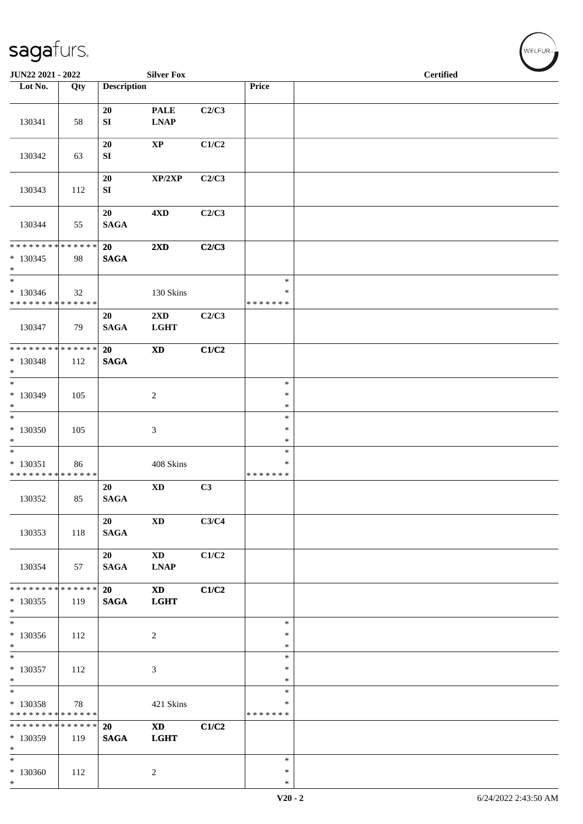| JUN22 2021 - 2022                                                     |     |                        | <b>Silver Fox</b>                      |                |                              | <b>Certified</b> |
|-----------------------------------------------------------------------|-----|------------------------|----------------------------------------|----------------|------------------------------|------------------|
| Lot No.                                                               | Qty | <b>Description</b>     |                                        |                | Price                        |                  |
| 130341                                                                | 58  | 20<br>SI               | <b>PALE</b><br><b>LNAP</b>             | C2/C3          |                              |                  |
| 130342                                                                | 63  | 20<br>SI               | $\bold{XP}$                            | C1/C2          |                              |                  |
| 130343                                                                | 112 | 20<br>${\bf S}{\bf I}$ | XP/2XP                                 | C2/C3          |                              |                  |
| 130344                                                                | 55  | 20<br><b>SAGA</b>      | 4 <sub>xD</sub>                        | C2/C3          |                              |                  |
| * * * * * * * * * * * * * * *<br>$* 130345$<br>$*$                    | 98  | 20<br><b>SAGA</b>      | $2\mathbf{X}\mathbf{D}$                | C2/C3          |                              |                  |
| $*$<br>$* 130346$<br>* * * * * * * * * * * * * *                      | 32  |                        | 130 Skins                              |                | $\ast$<br>*<br>* * * * * * * |                  |
| 130347                                                                | 79  | 20<br><b>SAGA</b>      | $2\mathbf{X}\mathbf{D}$<br><b>LGHT</b> | C2/C3          |                              |                  |
| ******** <mark>******</mark><br>$* 130348$<br>$*$                     | 112 | 20<br>$\mathbf{SAGA}$  | $\boldsymbol{\mathrm{XD}}$             | C1/C2          |                              |                  |
| $*$<br>$*130349$<br>$*$                                               | 105 |                        | $\overline{c}$                         |                | $\ast$<br>$\ast$<br>$\ast$   |                  |
| $*$<br>$*130350$<br>$*$                                               | 105 |                        | 3                                      |                | $\ast$<br>$\ast$<br>$\ast$   |                  |
| $\overline{\phantom{0}}$<br>$* 130351$<br>* * * * * * * * * * * * * * | 86  |                        | 408 Skins                              |                | $\ast$<br>∗<br>* * * * * * * |                  |
| 130352                                                                | 85  | 20<br>$\mathbf{SAGA}$  | <b>XD</b>                              | C <sub>3</sub> |                              |                  |
| 130353                                                                | 118 | 20<br><b>SAGA</b>      | <b>XD</b>                              | C3/C4          |                              |                  |
| 130354                                                                | 57  | 20<br><b>SAGA</b>      | <b>XD</b><br><b>LNAP</b>               | C1/C2          |                              |                  |
| ******** <mark>******</mark><br>$*130355$<br>$*$                      | 119 | 20<br><b>SAGA</b>      | $\mathbf{X}\mathbf{D}$<br><b>LGHT</b>  | C1/C2          |                              |                  |
| $*$<br>$*130356$<br>$*$                                               | 112 |                        | 2                                      |                | $\ast$<br>$\ast$<br>$\ast$   |                  |
| $\overline{\phantom{0}}$<br>$* 130357$<br>$*$                         | 112 |                        | 3                                      |                | $\ast$<br>∗<br>$\ast$        |                  |
| $\overline{\phantom{0}}$<br>$* 130358$<br>* * * * * * * * * * * * * * | 78  |                        | 421 Skins                              |                | $\ast$<br>∗<br>* * * * * * * |                  |
| * * * * * * * * * * * * * * *<br>* 130359<br>$*$                      | 119 | 20<br><b>SAGA</b>      | $\mathbf{X}\mathbf{D}$<br><b>LGHT</b>  | C1/C2          |                              |                  |
| $*130360$<br>$*$                                                      | 112 |                        | $\overline{c}$                         |                | $\ast$<br>∗<br>$\ast$        |                  |

 $(\forall ELFUR_{\approx})$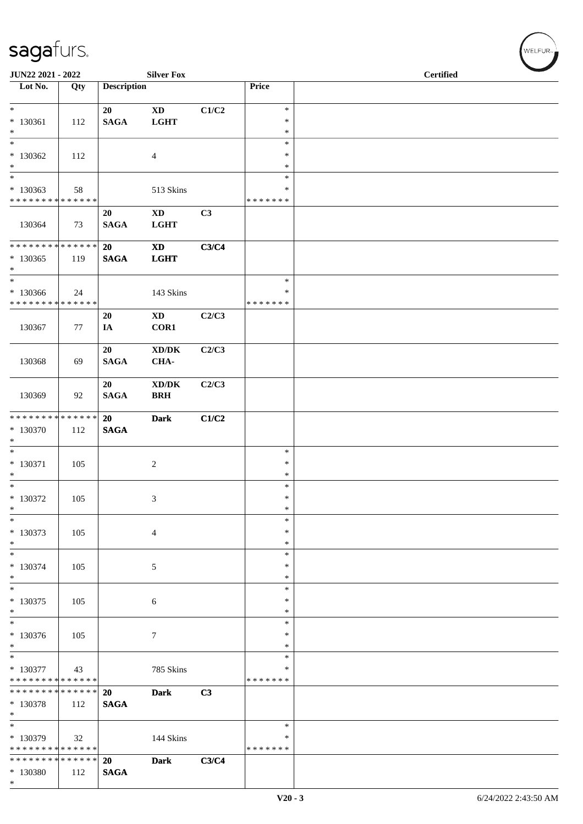| JUN22 2021 - 2022                                                    |                    |                       | <b>Silver Fox</b>                                   |       |                              | <b>Certified</b> | $\overline{\phantom{0}}$ |
|----------------------------------------------------------------------|--------------------|-----------------------|-----------------------------------------------------|-------|------------------------------|------------------|--------------------------|
| Lot No.                                                              | Qty                | <b>Description</b>    |                                                     |       | Price                        |                  |                          |
| $*$<br>$* 130361$<br>$*$                                             | 112                | 20<br><b>SAGA</b>     | $\mathbf{X}\mathbf{D}$<br><b>LGHT</b>               | C1/C2 | $\ast$<br>$\ast$<br>$\ast$   |                  |                          |
| $*$<br>$*130362$<br>$*$                                              | 112                |                       | $\overline{4}$                                      |       | $\ast$<br>$\ast$<br>$\ast$   |                  |                          |
| $\ast$<br>* 130363<br>* * * * * * * * * * * * * *                    | 58                 |                       | 513 Skins                                           |       | $\ast$<br>*<br>* * * * * * * |                  |                          |
| 130364                                                               | 73                 | 20<br><b>SAGA</b>     | $\mathbf{X}\mathbf{D}$<br><b>LGHT</b>               | C3    |                              |                  |                          |
| * * * * * * * * * * * * * * *<br>$*130365$<br>$*$                    | 119                | 20<br>$\mathbf{SAGA}$ | <b>XD</b><br><b>LGHT</b>                            | C3/C4 |                              |                  |                          |
| $\overline{\phantom{0}}$<br>$*130366$<br>* * * * * * * * * * * * * * | 24                 |                       | 143 Skins                                           |       | $\ast$<br>∗<br>* * * * * * * |                  |                          |
| 130367                                                               | 77                 | 20<br>IA              | $\mathbf{X}\mathbf{D}$<br>COR1                      | C2/C3 |                              |                  |                          |
| 130368                                                               | 69                 | 20<br><b>SAGA</b>     | $\mathbf{X}\mathbf{D}/\mathbf{D}\mathbf{K}$<br>CHA- | C2/C3 |                              |                  |                          |
| 130369                                                               | 92                 | 20<br><b>SAGA</b>     | $\bold{X}\bold{D}/\bold{D}\bold{K}$<br><b>BRH</b>   | C2/C3 |                              |                  |                          |
| * * * * * * * * * * * * * * *<br>$* 130370$<br>$*$                   | 112                | 20<br><b>SAGA</b>     | <b>Dark</b>                                         | C1/C2 |                              |                  |                          |
| $*$<br>$* 130371$<br>$\ast$                                          | 105                |                       | $\overline{c}$                                      |       | $\ast$<br>$\ast$<br>$\ast$   |                  |                          |
| $\overline{\phantom{0}}$<br>$* 130372$<br>$\ast$                     | 105                |                       | 3                                                   |       | $\ast$<br>$\ast$<br>$\ast$   |                  |                          |
| $\ast$<br>$* 130373$<br>$*$                                          | 105                |                       | $\overline{4}$                                      |       | $\ast$<br>$\ast$<br>$\ast$   |                  |                          |
| $\ast$<br>* 130374<br>$*$                                            | 105                |                       | $\sqrt{5}$                                          |       | $\ast$<br>$\ast$<br>$\ast$   |                  |                          |
| $\ast$<br>$* 130375$<br>$*$                                          | 105                |                       | 6                                                   |       | $\ast$<br>∗<br>$\ast$        |                  |                          |
| $\overline{\phantom{0}}$<br>* 130376<br>$*$                          | 105                |                       | $\tau$                                              |       | $\ast$<br>∗<br>$\ast$        |                  |                          |
| $\ast$<br>$* 130377$<br>* * * * * * * * * * * * * *                  | 43                 |                       | 785 Skins                                           |       | $\ast$<br>*<br>* * * * * * * |                  |                          |
| * * * * * * * * * * * * * *<br>* 130378<br>$*$                       | 112                | 20<br><b>SAGA</b>     | <b>Dark</b>                                         | C3    |                              |                  |                          |
| * 130379<br>* * * * * * * * * * * * * *                              | 32                 |                       | 144 Skins                                           |       | $\ast$<br>∗<br>* * * * * * * |                  |                          |
| * * * * * * * *<br>* 130380<br>$\ast$                                | * * * * * *<br>112 | 20<br><b>SAGA</b>     | <b>Dark</b>                                         | C3/C4 |                              |                  |                          |

 $(w$ ELFUR-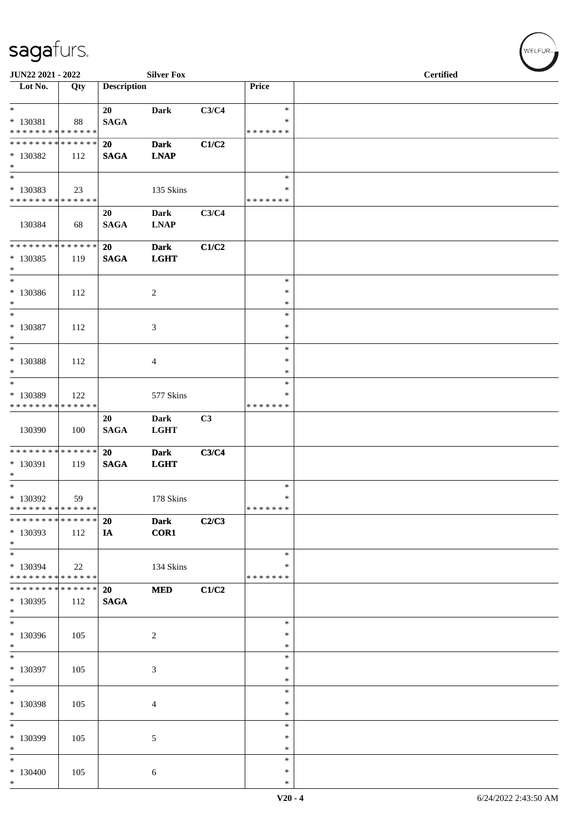| JUN22 2021 - 2022                                      |     |                    | <b>Silver Fox</b>          |       |                         | <b>Certified</b> |
|--------------------------------------------------------|-----|--------------------|----------------------------|-------|-------------------------|------------------|
| Lot No.                                                | Qty | <b>Description</b> |                            |       | Price                   |                  |
| $*$<br>$* 130381$                                      | 88  | 20<br><b>SAGA</b>  | <b>Dark</b>                | C3/C4 | $\ast$<br>$\ast$        |                  |
| * * * * * * * * * * * * * *                            |     |                    |                            |       | * * * * * * *           |                  |
| ******** <mark>******</mark><br>* 130382<br>$*$        | 112 | 20<br><b>SAGA</b>  | <b>Dark</b><br><b>LNAP</b> | C1/C2 |                         |                  |
| $*$                                                    |     |                    |                            |       | $\ast$                  |                  |
| * 130383<br>* * * * * * * * * * * * * *                | 23  |                    | 135 Skins                  |       | $\ast$<br>* * * * * * * |                  |
| 130384                                                 | 68  | 20<br><b>SAGA</b>  | <b>Dark</b><br><b>LNAP</b> | C3/C4 |                         |                  |
| * * * * * * * * * * * * * *                            |     | 20                 | <b>Dark</b>                | C1/C2 |                         |                  |
| * 130385<br>$*$                                        | 119 | <b>SAGA</b>        | <b>LGHT</b>                |       |                         |                  |
| $*$                                                    |     |                    |                            |       | $\ast$                  |                  |
| $* 130386$<br>$*$                                      | 112 |                    | $\overline{2}$             |       | $\ast$<br>$\ast$        |                  |
| $*$                                                    |     |                    |                            |       | $\ast$                  |                  |
| $* 130387$<br>$*$                                      | 112 |                    | 3                          |       | $\ast$<br>$\ast$        |                  |
| $*$                                                    |     |                    |                            |       | $\ast$                  |                  |
| $* 130388$<br>$*$                                      | 112 |                    | $\overline{4}$             |       | $\ast$<br>∗             |                  |
| $\overline{\ast}$                                      |     |                    |                            |       | $\ast$                  |                  |
| * 130389<br>* * * * * * * * * * * * * *                | 122 |                    | 577 Skins                  |       | $\ast$<br>* * * * * * * |                  |
|                                                        |     | 20                 | Dark                       | C3    |                         |                  |
| 130390                                                 | 100 | <b>SAGA</b>        | <b>LGHT</b>                |       |                         |                  |
| * * * * * * * * * * * * * *                            |     | 20                 | <b>Dark</b>                | C3/C4 |                         |                  |
| * 130391                                               | 119 | <b>SAGA</b>        | <b>LGHT</b>                |       |                         |                  |
| $*$<br>$*$                                             |     |                    |                            |       | $\ast$                  |                  |
| $*130392$                                              | 59  |                    | 178 Skins                  |       | $\ast$                  |                  |
| * * * * * * * * * * * * * *                            |     |                    |                            |       | * * * * * * *           |                  |
| * * * * * * * * * * * * * *                            |     | <b>20</b>          | <b>Dark</b>                | C2/C3 |                         |                  |
| * 130393<br>$*$                                        | 112 | IA                 | <b>COR1</b>                |       |                         |                  |
| $*$                                                    |     |                    |                            |       | $\ast$                  |                  |
| * 130394<br>* * * * * * * * <mark>* * * * * * *</mark> | 22  |                    | 134 Skins                  |       | $\ast$<br>* * * * * * * |                  |
| * * * * * * * * * * * * * *                            |     | 20                 | <b>MED</b>                 | C1/C2 |                         |                  |
| * 130395<br>$*$                                        | 112 | <b>SAGA</b>        |                            |       |                         |                  |
| $*$                                                    |     |                    |                            |       | $\ast$<br>∗             |                  |
| * 130396<br>$*$                                        | 105 |                    | $\overline{2}$             |       | $\ast$                  |                  |
| $*$                                                    |     |                    |                            |       | $\ast$                  |                  |
| * 130397<br>$*$                                        | 105 |                    | 3                          |       | $\ast$<br>∗             |                  |
| $*$                                                    |     |                    |                            |       | $\ast$                  |                  |
| $* 130398$<br>$*$                                      | 105 |                    | $\overline{4}$             |       | $\ast$<br>$\ast$        |                  |
| $*$                                                    |     |                    |                            |       | $\ast$                  |                  |
| * 130399<br>$*$                                        | 105 |                    | $\sqrt{5}$                 |       | $\ast$<br>$\ast$        |                  |
| $\ast$                                                 |     |                    |                            |       | $\ast$                  |                  |
| * 130400<br>$*$                                        | 105 |                    | 6                          |       | $\ast$<br>$\ast$        |                  |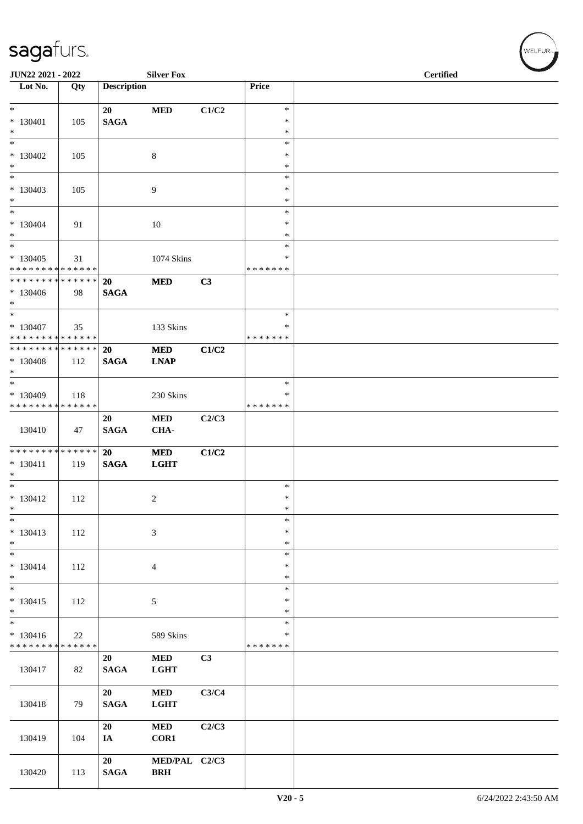| JUN22 2021 - 2022                          |     |                    | <b>Silver Fox</b> |       |                    | <b>Certified</b> |  |
|--------------------------------------------|-----|--------------------|-------------------|-------|--------------------|------------------|--|
| Lot No.                                    | Qty | <b>Description</b> |                   |       | Price              |                  |  |
| $*$                                        |     | 20                 | <b>MED</b>        | C1/C2 | $\ast$             |                  |  |
| $* 130401$<br>$*$                          | 105 | <b>SAGA</b>        |                   |       | $\ast$<br>$\ast$   |                  |  |
| $*$                                        |     |                    |                   |       | $\ast$             |                  |  |
| $*130402$<br>$*$                           | 105 |                    | 8                 |       | ∗<br>∗             |                  |  |
| $*$                                        |     |                    |                   |       | $\ast$             |                  |  |
| $*130403$<br>$*$                           | 105 |                    | 9                 |       | $\ast$<br>$\ast$   |                  |  |
| $*$                                        |     |                    |                   |       | $\ast$             |                  |  |
| $* 130404$<br>$*$                          | 91  |                    | 10                |       | $\ast$<br>$\ast$   |                  |  |
| $*$                                        |     |                    |                   |       | *                  |                  |  |
| $* 130405$<br>* * * * * * * * * * * * * *  | 31  |                    | 1074 Skins        |       | *<br>* * * * * * * |                  |  |
| * * * * * * * * * * * * * * *              |     | 20                 | <b>MED</b>        | C3    |                    |                  |  |
| * 130406<br>$*$                            | 98  | <b>SAGA</b>        |                   |       |                    |                  |  |
| $*$                                        |     |                    |                   |       | $\ast$             |                  |  |
| $*130407$<br>* * * * * * * * * * * * * * * | 35  |                    | 133 Skins         |       | ∗<br>* * * * * * * |                  |  |
| ******** <mark>******</mark>               |     | 20                 | <b>MED</b>        | C1/C2 |                    |                  |  |
| $*130408$<br>$*$                           | 112 | <b>SAGA</b>        | <b>LNAP</b>       |       |                    |                  |  |
| $*$                                        |     |                    |                   |       | $\ast$             |                  |  |
| * 130409                                   | 118 |                    | 230 Skins         |       | ∗                  |                  |  |
| * * * * * * * * * * * * * *                |     | 20                 | <b>MED</b>        | C2/C3 | * * * * * * *      |                  |  |
| 130410                                     | 47  | <b>SAGA</b>        | CHA-              |       |                    |                  |  |
| * * * * * * * * * * * * * * *              |     | 20                 | <b>MED</b>        | C1/C2 |                    |                  |  |
| $* 130411$<br>$*$                          | 119 | <b>SAGA</b>        | <b>LGHT</b>       |       |                    |                  |  |
| $*$                                        |     |                    |                   |       | $\ast$             |                  |  |
| $* 130412$<br>$\ast$                       | 112 |                    | $\boldsymbol{2}$  |       | $\ast$<br>$\ast$   |                  |  |
| $\ast$                                     |     |                    |                   |       | $\ast$             |                  |  |
| $* 130413$<br>$*$                          | 112 |                    | $\mathfrak{Z}$    |       | $\ast$<br>$\ast$   |                  |  |
| $*$                                        |     |                    |                   |       | $\ast$             |                  |  |
| $* 130414$<br>$*$                          | 112 |                    | $\overline{4}$    |       | $\ast$<br>$\ast$   |                  |  |
| $*$                                        |     |                    |                   |       | $\ast$             |                  |  |
| $* 130415$<br>$\ast$                       | 112 |                    | 5                 |       | $\ast$<br>$\ast$   |                  |  |
| $\ast$                                     |     |                    |                   |       | $\ast$             |                  |  |
| $* 130416$<br>* * * * * * * * * * * * * *  | 22  |                    | 589 Skins         |       | ∗<br>* * * * * * * |                  |  |
|                                            |     | 20                 | $\bf MED$         | C3    |                    |                  |  |
| 130417                                     | 82  | <b>SAGA</b>        | <b>LGHT</b>       |       |                    |                  |  |
|                                            |     | 20                 | <b>MED</b>        | C3/C4 |                    |                  |  |
| 130418                                     | 79  | <b>SAGA</b>        | <b>LGHT</b>       |       |                    |                  |  |
|                                            |     | 20                 | <b>MED</b>        | C2/C3 |                    |                  |  |
| 130419                                     | 104 | IA                 | COR1              |       |                    |                  |  |
|                                            |     | 20                 | MED/PAL C2/C3     |       |                    |                  |  |
| 130420                                     | 113 | <b>SAGA</b>        | <b>BRH</b>        |       |                    |                  |  |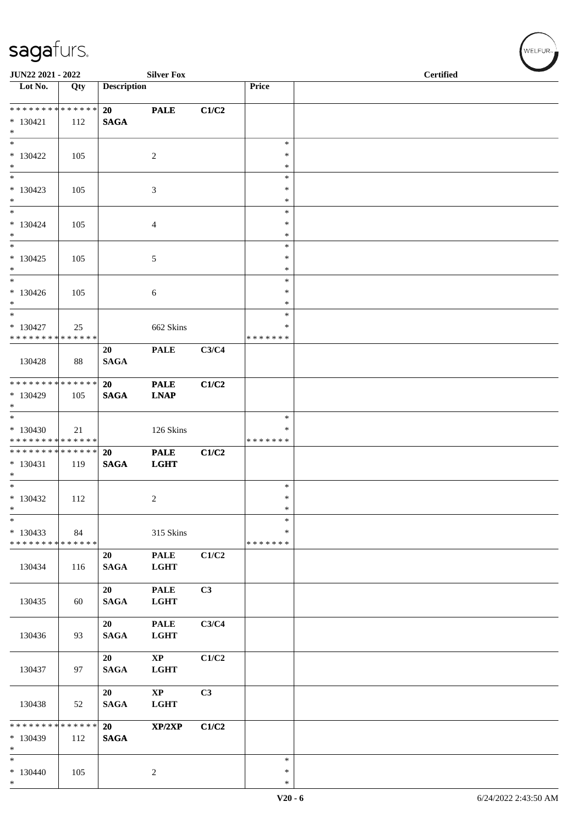| JUN22 2021 - 2022                                  |     |                    | <b>Silver Fox</b>          |       |                                   | <b>Certified</b> |
|----------------------------------------------------|-----|--------------------|----------------------------|-------|-----------------------------------|------------------|
| Lot No.                                            | Qty | <b>Description</b> |                            |       | Price                             |                  |
| ******** <mark>******</mark><br>$* 130421$<br>$*$  | 112 | 20<br><b>SAGA</b>  | <b>PALE</b>                | C1/C2 |                                   |                  |
| $*$<br>$* 130422$<br>$*$                           | 105 |                    | 2                          |       | $\ast$<br>∗<br>∗                  |                  |
| $*$<br>$*130423$<br>$*$                            | 105 |                    | 3                          |       | $\ast$<br>$\ast$<br>$\ast$        |                  |
| $*$<br>$* 130424$<br>$*$                           | 105 |                    | 4                          |       | $\ast$<br>$\ast$<br>$\ast$        |                  |
| $*$<br>$* 130425$<br>$*$                           | 105 |                    | 5                          |       | $\ast$<br>$\ast$<br>$\ast$        |                  |
| $\ast$<br>$* 130426$<br>$*$                        | 105 |                    | 6                          |       | $\ast$<br>$\ast$<br>$\ast$        |                  |
| $*$<br>$* 130427$<br>* * * * * * * * * * * * * *   | 25  |                    | 662 Skins                  |       | $\ast$<br>∗<br>* * * * * * *      |                  |
| 130428                                             | 88  | 20<br><b>SAGA</b>  | <b>PALE</b>                | C3/C4 |                                   |                  |
| ******** <mark>******</mark><br>$*130429$<br>$*$   | 105 | 20<br><b>SAGA</b>  | <b>PALE</b><br><b>LNAP</b> | C1/C2 |                                   |                  |
| $*130430$<br>* * * * * * * * * * * * * *           | 21  |                    | 126 Skins                  |       | $\ast$<br>∗<br>* * * * * * *      |                  |
| * * * * * * * * * * * * * * *<br>$* 130431$<br>$*$ | 119 | 20<br><b>SAGA</b>  | <b>PALE</b><br><b>LGHT</b> | C1/C2 |                                   |                  |
| $*$<br>$*130432$<br>$\ast$                         | 112 |                    | $\overline{c}$             |       | $\ast$<br>$\ast$<br>$\ast$        |                  |
| $\ast$<br>$*130433$<br>* * * * * * * * * * * * * * | 84  |                    | 315 Skins                  |       | $\ast$<br>$\ast$<br>* * * * * * * |                  |
| 130434                                             | 116 | 20<br><b>SAGA</b>  | <b>PALE</b><br><b>LGHT</b> | C1/C2 |                                   |                  |
| 130435                                             | 60  | 20<br><b>SAGA</b>  | <b>PALE</b><br><b>LGHT</b> | C3    |                                   |                  |
| 130436                                             | 93  | 20<br><b>SAGA</b>  | <b>PALE</b><br><b>LGHT</b> | C3/C4 |                                   |                  |
| 130437                                             | 97  | 20<br><b>SAGA</b>  | $\bold{XP}$<br><b>LGHT</b> | C1/C2 |                                   |                  |
| 130438                                             | 52  | 20<br><b>SAGA</b>  | $\bold{XP}$<br><b>LGHT</b> | C3    |                                   |                  |
| * * * * * * * * * * * * * *<br>$*130439$<br>$*$    | 112 | 20<br><b>SAGA</b>  | XP/2XP                     | C1/C2 |                                   |                  |
| $\ast$<br>$* 130440$<br>$*$                        | 105 |                    | $\overline{c}$             |       | $\ast$<br>$\ast$<br>$\ast$        |                  |

 $w$ ELFUR<sub>m</sub>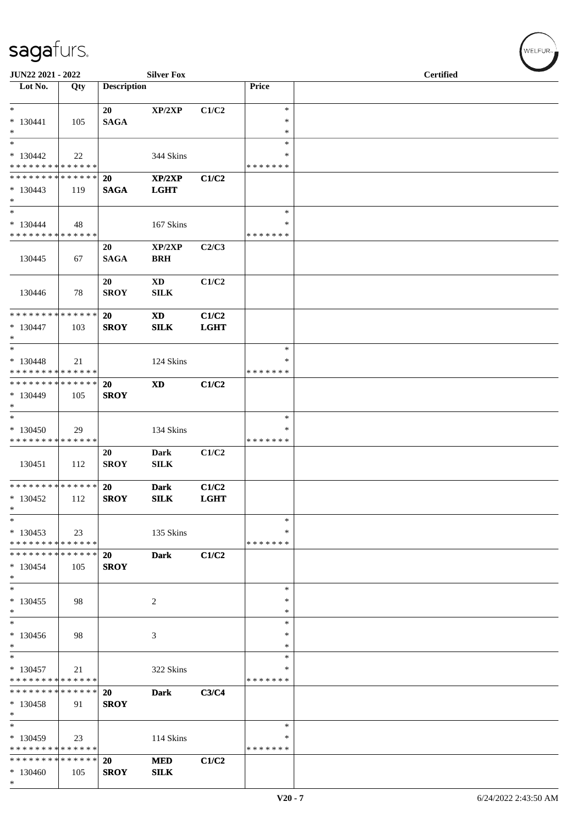| JUN22 2021 - 2022                                                         |     |                    | <b>Silver Fox</b>   |                      |               | <b>Certified</b> |
|---------------------------------------------------------------------------|-----|--------------------|---------------------|----------------------|---------------|------------------|
| Lot No.                                                                   | Qty | <b>Description</b> |                     |                      | Price         |                  |
| $*$                                                                       |     | 20                 | XP/2XP              | C1/C2                | $\ast$        |                  |
| $* 130441$                                                                | 105 | <b>SAGA</b>        |                     |                      | $\ast$        |                  |
| $\ast$                                                                    |     |                    |                     |                      | $\ast$        |                  |
| $*$                                                                       |     |                    |                     |                      | $\ast$        |                  |
| $*130442$                                                                 | 22  |                    | 344 Skins           |                      | *             |                  |
| * * * * * * * * * * * * * *                                               |     |                    |                     |                      | *******       |                  |
| * * * * * * * * * * * * * * *                                             |     | <b>20</b>          | XP/2XP              | C1/C2                |               |                  |
| $*130443$                                                                 | 119 | <b>SAGA</b>        | <b>LGHT</b>         |                      |               |                  |
| $*$                                                                       |     |                    |                     |                      |               |                  |
| $\ast$                                                                    |     |                    |                     |                      | $\ast$        |                  |
| $* 130444$<br>* * * * * * * * * * * * * *                                 | 48  |                    | 167 Skins           |                      | ∗<br>*******  |                  |
|                                                                           |     |                    |                     |                      |               |                  |
|                                                                           |     | 20                 | XP/2XP              | C2/C3                |               |                  |
| 130445                                                                    | 67  | <b>SAGA</b>        | <b>BRH</b>          |                      |               |                  |
|                                                                           |     | 20                 | <b>XD</b>           | C1/C2                |               |                  |
| 130446                                                                    | 78  | <b>SROY</b>        | ${\bf SILK}$        |                      |               |                  |
|                                                                           |     |                    |                     |                      |               |                  |
| ******** <mark>******</mark>                                              |     | <b>20</b>          | <b>XD</b>           | C1/C2                |               |                  |
| $*130447$                                                                 | 103 | <b>SROY</b>        | SILK                | <b>LGHT</b>          |               |                  |
| $*$                                                                       |     |                    |                     |                      |               |                  |
| $*$                                                                       |     |                    |                     |                      | $\ast$        |                  |
| $* 130448$                                                                | 21  |                    | 124 Skins           |                      | ∗             |                  |
| * * * * * * * * * * * * * *                                               |     |                    |                     |                      | *******       |                  |
| ******** <mark>******</mark>                                              |     | <b>20</b>          | <b>XD</b>           | C1/C2                |               |                  |
| * 130449                                                                  | 105 | <b>SROY</b>        |                     |                      |               |                  |
| $*$                                                                       |     |                    |                     |                      |               |                  |
| $\overline{\ast}$                                                         |     |                    |                     |                      | $\ast$        |                  |
| $*130450$                                                                 | 29  |                    | 134 Skins           |                      | $\ast$        |                  |
| * * * * * * * * * * * * * *                                               |     |                    |                     |                      | * * * * * * * |                  |
|                                                                           |     | 20                 | Dark                | C1/C2                |               |                  |
| 130451                                                                    | 112 | <b>SROY</b>        | <b>SILK</b>         |                      |               |                  |
| * * * * * * * * <mark>* * * * * * *</mark>                                |     | 20                 |                     |                      |               |                  |
| $*130452$                                                                 | 112 | <b>SROY</b>        | <b>Dark</b><br>SILK | C1/C2<br><b>LGHT</b> |               |                  |
| $\ast$                                                                    |     |                    |                     |                      |               |                  |
| $\ast$                                                                    |     |                    |                     |                      | $\ast$        |                  |
| $*130453$                                                                 | 23  |                    | 135 Skins           |                      | ∗             |                  |
| * * * * * * * * * * * * * * *                                             |     |                    |                     |                      | *******       |                  |
| * * * * * * * * <mark>* * * * * *</mark> *                                |     | 20                 | Dark                | C1/C2                |               |                  |
| $* 130454$                                                                | 105 | <b>SROY</b>        |                     |                      |               |                  |
| $\ast$                                                                    |     |                    |                     |                      |               |                  |
| $*$                                                                       |     |                    |                     |                      | $\ast$        |                  |
| $*130455$                                                                 | 98  |                    | 2                   |                      | $\ast$        |                  |
| $*$                                                                       |     |                    |                     |                      | $\ast$        |                  |
| $*$                                                                       |     |                    |                     |                      | $\ast$        |                  |
| $*130456$                                                                 | 98  |                    | 3                   |                      | ∗             |                  |
| $*$                                                                       |     |                    |                     |                      | $\ast$        |                  |
| $*$                                                                       |     |                    |                     |                      | $\ast$        |                  |
| $* 130457$                                                                | 21  |                    | 322 Skins           |                      | $\ast$        |                  |
| * * * * * * * * <mark>* * * * * *</mark><br>* * * * * * * * * * * * * * * |     |                    |                     |                      | *******       |                  |
|                                                                           |     | <b>20</b>          | <b>Dark</b>         | C3/C4                |               |                  |
| $* 130458$<br>$\ast$                                                      | 91  | <b>SROY</b>        |                     |                      |               |                  |
| $*$                                                                       |     |                    |                     |                      | $\ast$        |                  |
| $*130459$                                                                 |     |                    |                     |                      | ∗             |                  |
| * * * * * * * * <mark>* * * * * *</mark>                                  | 23  |                    | 114 Skins           |                      | *******       |                  |
| * * * * * * * * <mark>* * * * * *</mark> *                                |     | <b>20</b>          | <b>MED</b>          | C1/C2                |               |                  |
| $*130460$                                                                 | 105 | <b>SROY</b>        | <b>SILK</b>         |                      |               |                  |
| $\ast$                                                                    |     |                    |                     |                      |               |                  |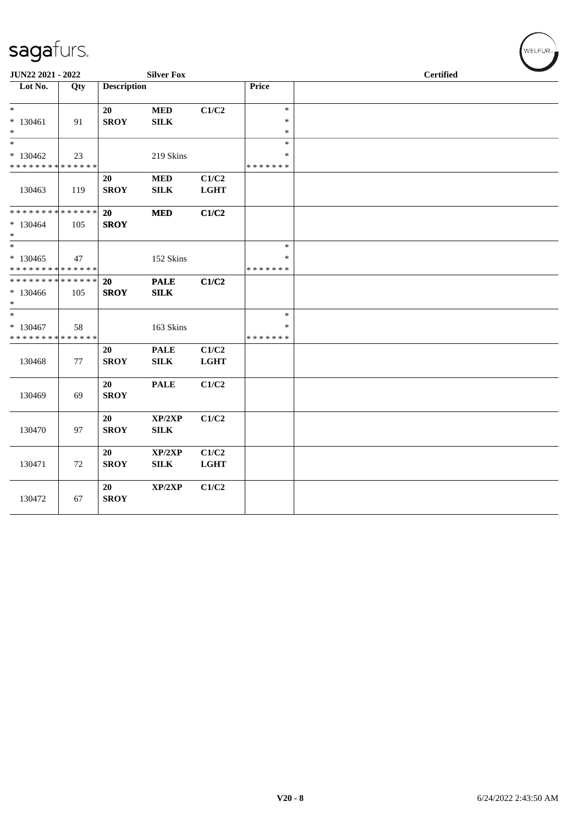| JUN22 2021 - 2022                                                                   |     |                          | <b>Silver Fox</b>           |                      |                                   |  | <b>Certified</b> |  |
|-------------------------------------------------------------------------------------|-----|--------------------------|-----------------------------|----------------------|-----------------------------------|--|------------------|--|
| Lot No.                                                                             | Qty | <b>Description</b>       |                             |                      | <b>Price</b>                      |  |                  |  |
| $\ast$<br>$* 130461$<br>$*$                                                         | 91  | 20<br><b>SROY</b>        | <b>MED</b><br><b>SILK</b>   | C1/C2                | $\ast$<br>*<br>$\ast$             |  |                  |  |
| $*$<br>$*130462$<br>* * * * * * * * * * * * * *                                     | 23  |                          | 219 Skins                   |                      | $\ast$<br>*<br>* * * * * * *      |  |                  |  |
| 130463                                                                              | 119 | 20<br><b>SROY</b>        | <b>MED</b><br><b>SILK</b>   | C1/C2<br><b>LGHT</b> |                                   |  |                  |  |
| ******** <mark>******</mark><br>$*130464$<br>$\ast$                                 | 105 | 20<br><b>SROY</b>        | <b>MED</b>                  | C1/C2                |                                   |  |                  |  |
| $\overline{\phantom{0}}$<br>$*130465$<br>* * * * * * * * <mark>* * * * * * *</mark> | 47  |                          | 152 Skins                   |                      | $\ast$<br>$\ast$<br>* * * * * * * |  |                  |  |
| * * * * * * * * * * * * * * *<br>* 130466<br>$*$                                    | 105 | <b>20</b><br><b>SROY</b> | <b>PALE</b><br>SILK         | C1/C2                |                                   |  |                  |  |
| $*$<br>$* 130467$<br>* * * * * * * * * * * * * *                                    | 58  |                          | 163 Skins                   |                      | $\ast$<br>$\ast$<br>* * * * * * * |  |                  |  |
| 130468                                                                              | 77  | 20<br><b>SROY</b>        | <b>PALE</b><br>${\bf SILK}$ | C1/C2<br><b>LGHT</b> |                                   |  |                  |  |
| 130469                                                                              | 69  | 20<br><b>SROY</b>        | <b>PALE</b>                 | C1/C2                |                                   |  |                  |  |
| 130470                                                                              | 97  | 20<br><b>SROY</b>        | XP/2XP<br>${\bf SILK}$      | C1/C2                |                                   |  |                  |  |
| 130471                                                                              | 72  | 20<br><b>SROY</b>        | XP/2XP<br><b>SILK</b>       | C1/C2<br><b>LGHT</b> |                                   |  |                  |  |
| 130472                                                                              | 67  | 20<br><b>SROY</b>        | XP/2XP                      | C1/C2                |                                   |  |                  |  |

WELFUR<sub><sup>N</sub></sub></sub></sup>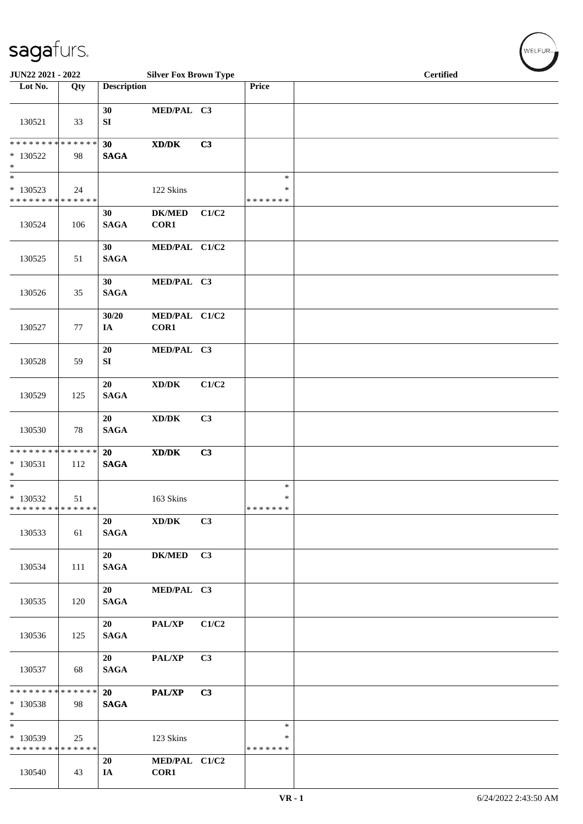| JUN22 2021 - 2022                                                        |     |                       | <b>Silver Fox Brown Type</b>                                 |       |                                   | <b>Certified</b> |
|--------------------------------------------------------------------------|-----|-----------------------|--------------------------------------------------------------|-------|-----------------------------------|------------------|
| Lot No.                                                                  | Qty | <b>Description</b>    |                                                              |       | Price                             |                  |
| 130521                                                                   | 33  | 30<br>${\bf SI}$      | MED/PAL C3                                                   |       |                                   |                  |
| ******** <mark>******</mark><br>$* 130522$<br>$\ast$                     | 98  | 30<br><b>SAGA</b>     | $\mathbf{X}\mathbf{D}/\mathbf{D}\mathbf{K}$                  | C3    |                                   |                  |
| $\overline{\phantom{a}^*}$<br>* 130523<br>* * * * * * * * * * * * * *    | 24  |                       | 122 Skins                                                    |       | $\ast$<br>$\ast$<br>* * * * * * * |                  |
| 130524                                                                   | 106 | 30<br><b>SAGA</b>     | <b>DK/MED</b><br>COR1                                        | C1/C2 |                                   |                  |
| 130525                                                                   | 51  | 30<br>$\mathbf{SAGA}$ | MED/PAL C1/C2                                                |       |                                   |                  |
| 130526                                                                   | 35  | 30<br><b>SAGA</b>     | MED/PAL C3                                                   |       |                                   |                  |
| 130527                                                                   | 77  | 30/20<br>IA           | MED/PAL C1/C2<br>COR1                                        |       |                                   |                  |
| 130528                                                                   | 59  | 20<br>SI              | MED/PAL C3                                                   |       |                                   |                  |
| 130529                                                                   | 125 | 20<br><b>SAGA</b>     | $\bold{X}\bold{D}/\bold{D}\bold{K}$                          | C1/C2 |                                   |                  |
| 130530                                                                   | 78  | 20<br><b>SAGA</b>     | $\bold{X}\bold{D}/\bold{D}\bold{K}$                          | C3    |                                   |                  |
| * * * * * * * * * * * * * *<br>$* 130531$<br>$\ast$                      | 112 | 20<br><b>SAGA</b>     | $\mathbf{X}\mathbf{D}/\mathbf{D}\mathbf{K}$                  | C3    |                                   |                  |
| $\overline{\phantom{a}^*}$<br>$*130532$<br>* * * * * * * * * * * * * * * | 51  |                       | 163 Skins                                                    |       | $\ast$<br>$\ast$<br>* * * * * * * |                  |
| 130533                                                                   | 61  | 20<br><b>SAGA</b>     | $\boldsymbol{\mathrm{XD}}\mathsf{/}\boldsymbol{\mathrm{DK}}$ | C3    |                                   |                  |
| 130534                                                                   | 111 | 20<br><b>SAGA</b>     | DK/MED C3                                                    |       |                                   |                  |
| 130535                                                                   | 120 | 20<br><b>SAGA</b>     | MED/PAL C3                                                   |       |                                   |                  |
| 130536                                                                   | 125 | 20<br><b>SAGA</b>     | PAL/XP C1/C2                                                 |       |                                   |                  |
| 130537                                                                   | 68  | 20<br><b>SAGA</b>     | PAL/XP                                                       | C3    |                                   |                  |
| ******** <mark>******</mark><br>$*130538$<br>$*$                         | 98  | 20<br><b>SAGA</b>     | PAL/XP                                                       | C3    |                                   |                  |
| $\ast$<br>* 130539<br>* * * * * * * * * * * * * * *                      | 25  |                       | 123 Skins                                                    |       | $\ast$<br>∗<br>* * * * * * *      |                  |
| 130540                                                                   | 43  | 20<br>IA              | MED/PAL C1/C2<br>COR1                                        |       |                                   |                  |